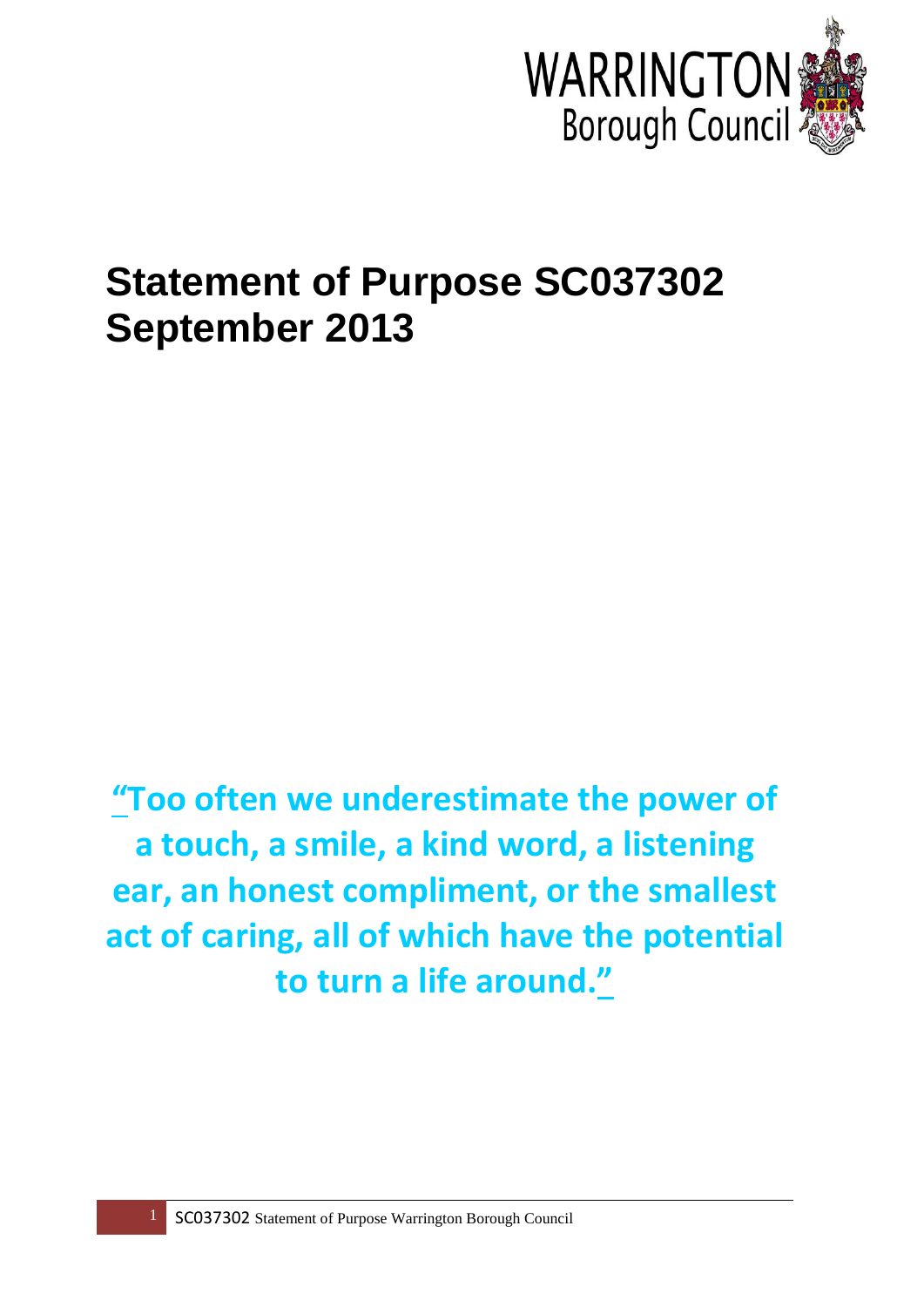

# **Statement of Purpose SC037302 September 2013**

**"[Too often we underestimate the power of](http://thinkexist.com/quotation/too_often_we_underestimate_the_power_of_a_touch-a/213531.html)  [a touch, a smile, a kind word, a listening](http://thinkexist.com/quotation/too_often_we_underestimate_the_power_of_a_touch-a/213531.html)  [ear, an honest compliment, or the smallest](http://thinkexist.com/quotation/too_often_we_underestimate_the_power_of_a_touch-a/213531.html)  [act of caring, all of which have the potential](http://thinkexist.com/quotation/too_often_we_underestimate_the_power_of_a_touch-a/213531.html)  [to turn a life around.](http://thinkexist.com/quotation/too_often_we_underestimate_the_power_of_a_touch-a/213531.html)"**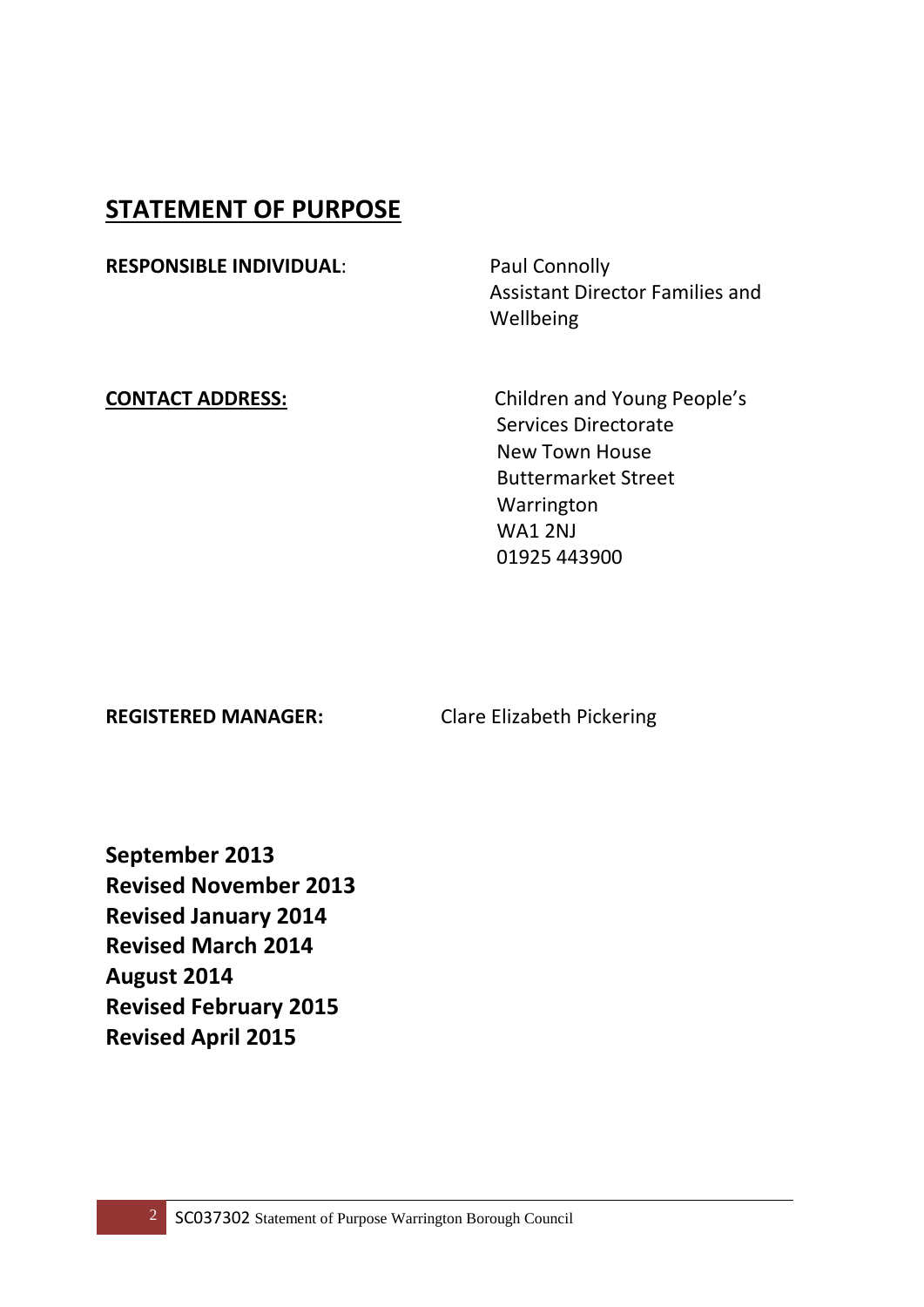### **STATEMENT OF PURPOSE**

**RESPONSIBLE INDIVIDUAL:** Paul Connolly

 Assistant Director Families and Wellbeing

**CONTACT ADDRESS:** Children and Young People's Services Directorate New Town House Buttermarket Street Warrington WA1 2NJ 01925 443900

**REGISTERED MANAGER:** Clare Elizabeth Pickering

**September 2013 Revised November 2013 Revised January 2014 Revised March 2014 August 2014 Revised February 2015 Revised April 2015**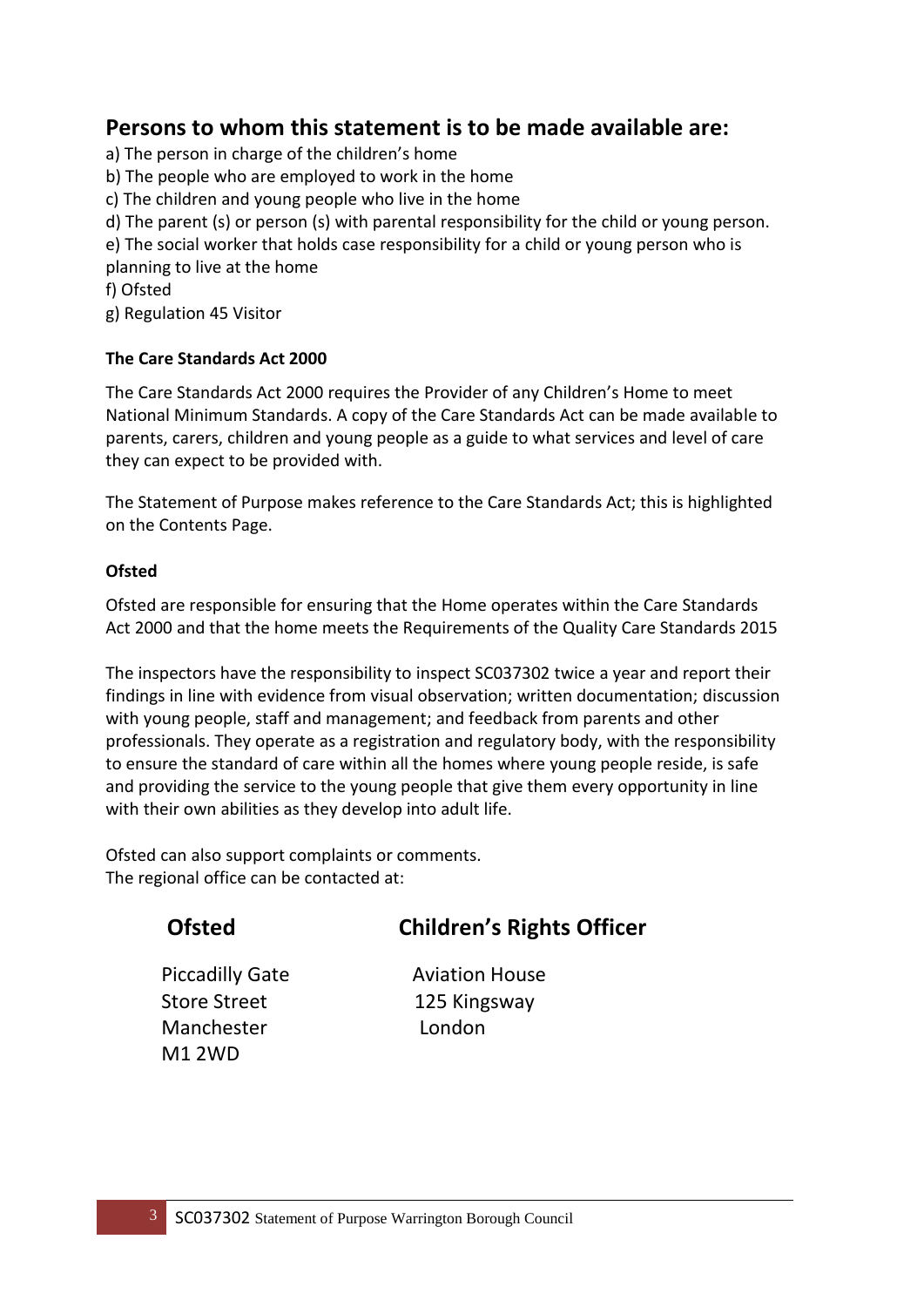#### **Persons to whom this statement is to be made available are:**

- a) The person in charge of the children's home
- b) The people who are employed to work in the home
- c) The children and young people who live in the home
- d) The parent (s) or person (s) with parental responsibility for the child or young person.
- e) The social worker that holds case responsibility for a child or young person who is planning to live at the home
- f) Ofsted

g) Regulation 45 Visitor

#### **The Care Standards Act 2000**

The Care Standards Act 2000 requires the Provider of any Children's Home to meet National Minimum Standards. A copy of the Care Standards Act can be made available to parents, carers, children and young people as a guide to what services and level of care they can expect to be provided with.

The Statement of Purpose makes reference to the Care Standards Act; this is highlighted on the Contents Page.

#### **Ofsted**

Ofsted are responsible for ensuring that the Home operates within the Care Standards Act 2000 and that the home meets the Requirements of the Quality Care Standards 2015

The inspectors have the responsibility to inspect SC037302 twice a year and report their findings in line with evidence from visual observation; written documentation; discussion with young people, staff and management; and feedback from parents and other professionals. They operate as a registration and regulatory body, with the responsibility to ensure the standard of care within all the homes where young people reside, is safe and providing the service to the young people that give them every opportunity in line with their own abilities as they develop into adult life.

Ofsted can also support complaints or comments. The regional office can be contacted at:

### **Ofsted Children's Rights Officer**

Store Street 125 Kingsway Manchester London M1 2WD

Piccadilly Gate **Aviation House**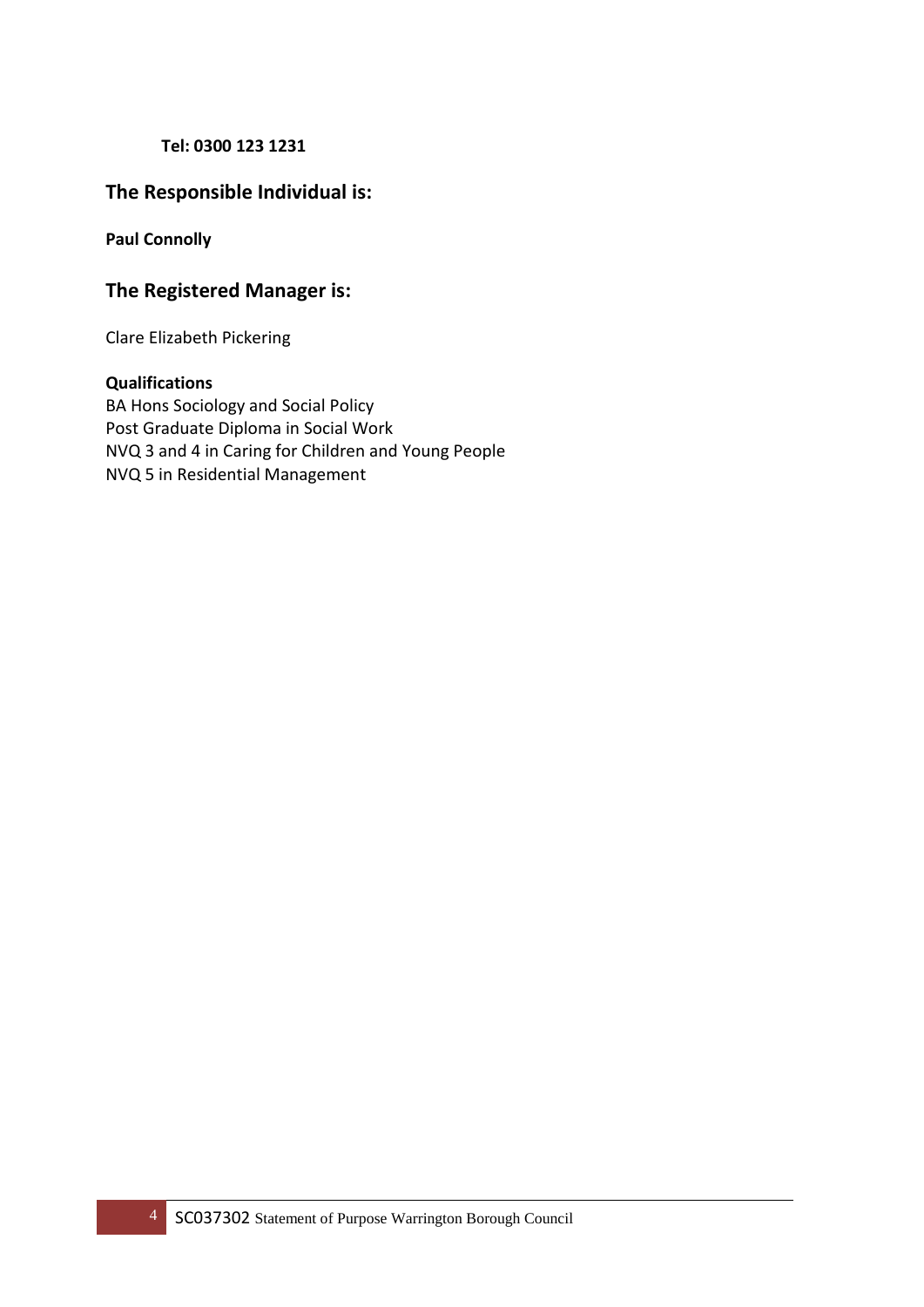#### **Tel: 0300 123 1231**

#### **The Responsible Individual is:**

**Paul Connolly**

#### **The Registered Manager is:**

Clare Elizabeth Pickering

#### **Qualifications**

BA Hons Sociology and Social Policy Post Graduate Diploma in Social Work NVQ 3 and 4 in Caring for Children and Young People NVQ 5 in Residential Management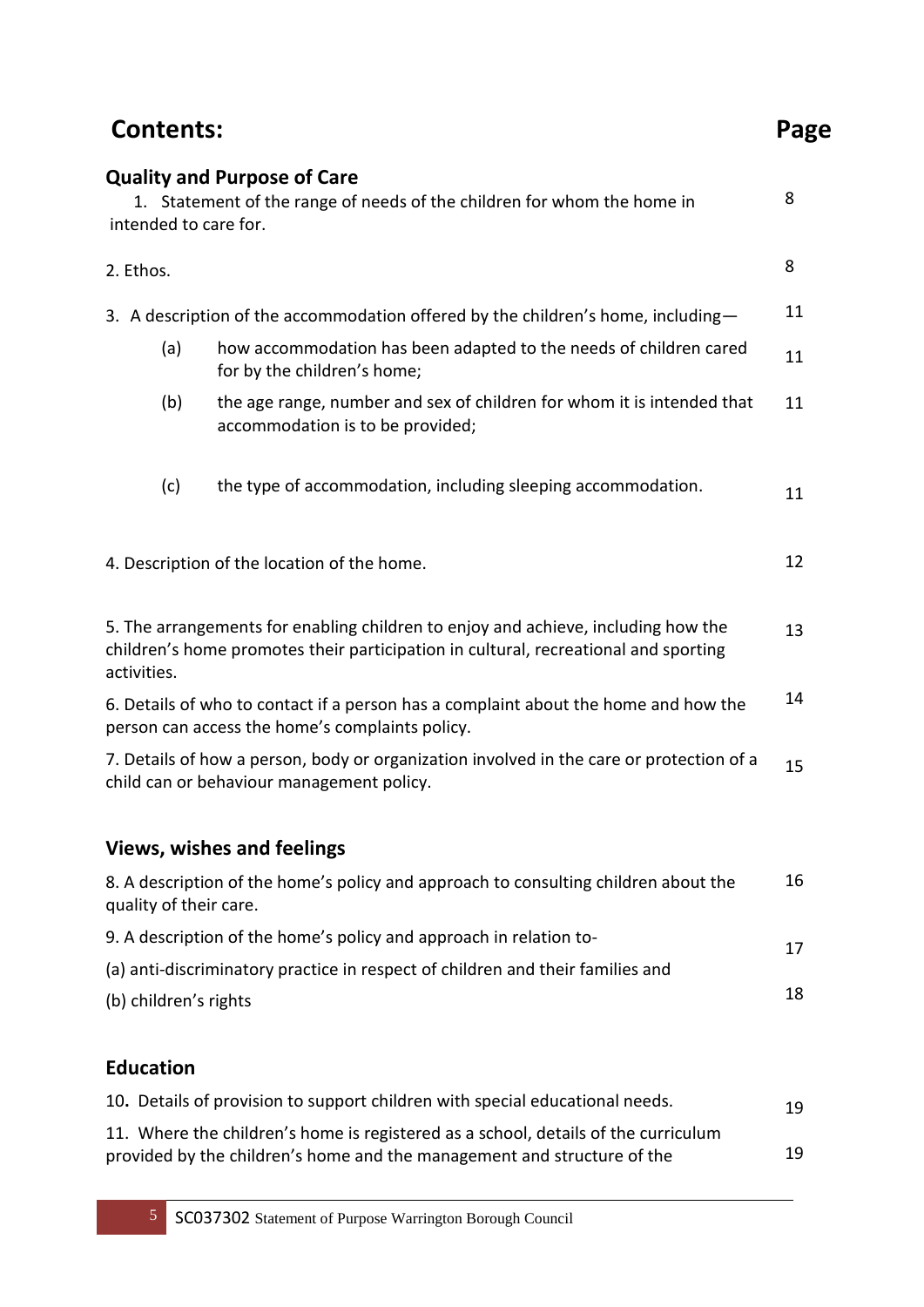| <b>Contents:</b>                                                                                                                      |                                                                                                                                                                          | Page |
|---------------------------------------------------------------------------------------------------------------------------------------|--------------------------------------------------------------------------------------------------------------------------------------------------------------------------|------|
| intended to care for.                                                                                                                 | <b>Quality and Purpose of Care</b><br>1. Statement of the range of needs of the children for whom the home in                                                            | 8    |
| 2. Ethos.                                                                                                                             |                                                                                                                                                                          | 8    |
|                                                                                                                                       | 3. A description of the accommodation offered by the children's home, including-                                                                                         | 11   |
| (a)                                                                                                                                   | how accommodation has been adapted to the needs of children cared<br>for by the children's home;                                                                         | 11   |
| (b)                                                                                                                                   | the age range, number and sex of children for whom it is intended that<br>accommodation is to be provided;                                                               | 11   |
| (c)                                                                                                                                   | the type of accommodation, including sleeping accommodation.                                                                                                             | 11   |
|                                                                                                                                       | 4. Description of the location of the home.                                                                                                                              | 12   |
| activities.                                                                                                                           | 5. The arrangements for enabling children to enjoy and achieve, including how the<br>children's home promotes their participation in cultural, recreational and sporting | 13   |
|                                                                                                                                       | 6. Details of who to contact if a person has a complaint about the home and how the<br>person can access the home's complaints policy.                                   | 14   |
| 7. Details of how a person, body or organization involved in the care or protection of a<br>child can or behaviour management policy. |                                                                                                                                                                          | 15   |
|                                                                                                                                       | <b>Views, wishes and feelings</b>                                                                                                                                        |      |
| quality of their care.                                                                                                                | 8. A description of the home's policy and approach to consulting children about the                                                                                      | 16   |
| 9. A description of the home's policy and approach in relation to-                                                                    |                                                                                                                                                                          | 17   |
| (a) anti-discriminatory practice in respect of children and their families and                                                        |                                                                                                                                                                          |      |
| (b) children's rights                                                                                                                 |                                                                                                                                                                          | 18   |
| <b>Education</b>                                                                                                                      |                                                                                                                                                                          |      |
|                                                                                                                                       | 10. Details of provision to support children with special educational needs.                                                                                             | 19   |

11. Where the children's home is registered as a school, details of the curriculum provided by the children's home and the management and structure of the 19 19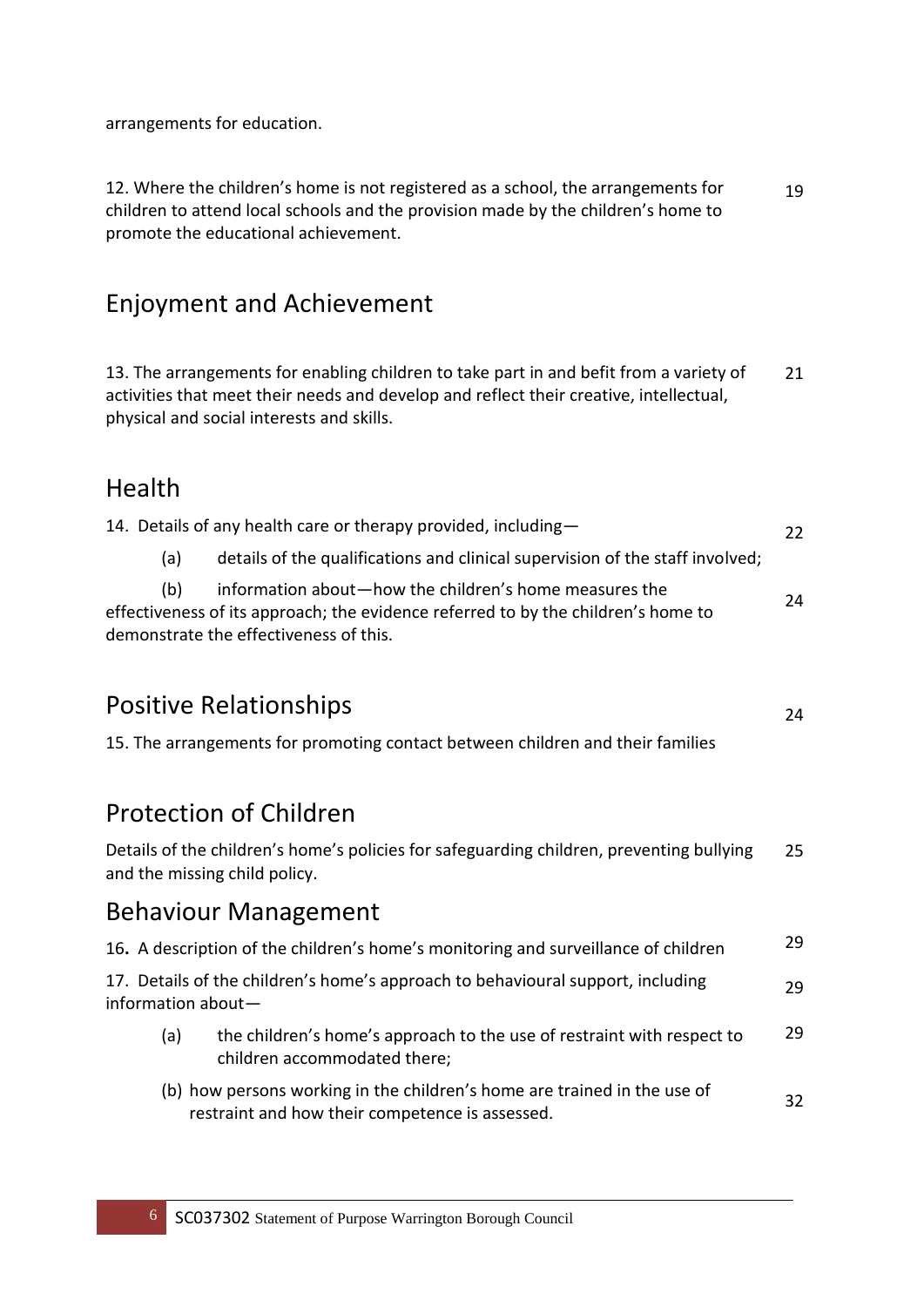arrangements for education.

12. Where the children's home is not registered as a school, the arrangements for children to attend local schools and the provision made by the children's home to promote the educational achievement. 19

### Enjoyment and Achievement

13. The arrangements for enabling children to take part in and befit from a variety of activities that meet their needs and develop and reflect their creative, intellectual, physical and social interests and skills. 21

### Health

|     | 14. Details of any health care or therapy provided, including-                    | 22 |
|-----|-----------------------------------------------------------------------------------|----|
| (a) | details of the qualifications and clinical supervision of the staff involved;     |    |
| (b) | information about-how the children's home measures the                            | 24 |
|     | effectiveness of its approach; the evidence referred to by the children's home to |    |
|     | demonstrate the effectiveness of this.                                            |    |

24

### Positive Relationships

15. The arrangements for promoting contact between children and their families

### Protection of Children

Details of the children's home's policies for safeguarding children, preventing bullying and the missing child policy. 25

### Behaviour Management

|                    | 16. A description of the children's home's monitoring and surveillance of children                                          | 29 |
|--------------------|-----------------------------------------------------------------------------------------------------------------------------|----|
| information about- | 17. Details of the children's home's approach to behavioural support, including                                             | 29 |
| (a)                | the children's home's approach to the use of restraint with respect to<br>children accommodated there;                      | 29 |
|                    | (b) how persons working in the children's home are trained in the use of<br>restraint and how their competence is assessed. | 32 |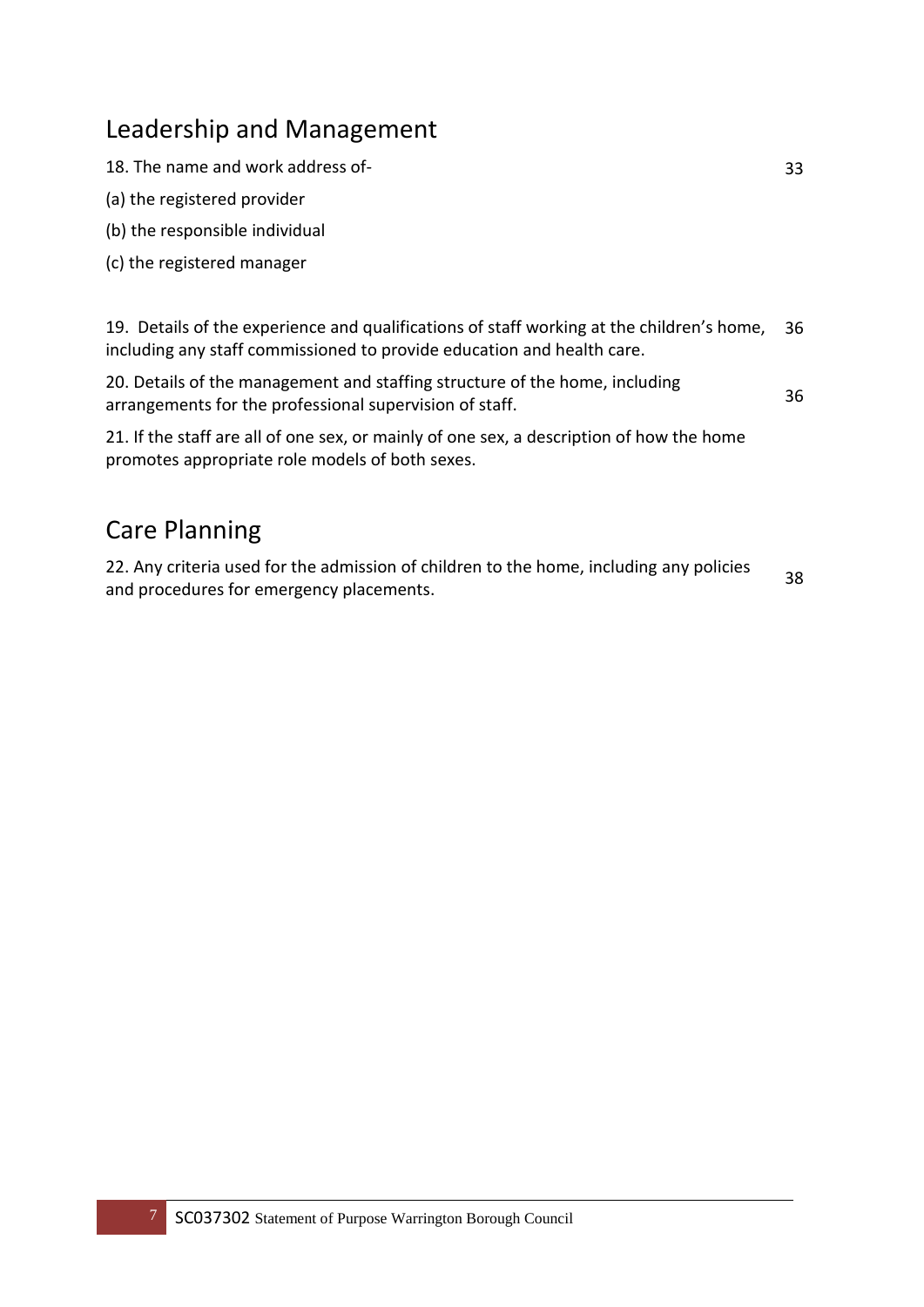### Leadership and Management

18. The name and work address of-

- (a) the registered provider
- (b) the responsible individual
- (c) the registered manager

19. Details of the experience and qualifications of staff working at the children's home, including any staff commissioned to provide education and health care. 36

20. Details of the management and staffing structure of the home, including arrangements for the professional supervision of staff.

21. If the staff are all of one sex, or mainly of one sex, a description of how the home promotes appropriate role models of both sexes.

### Care Planning

22. Any criteria used for the admission of children to the home, including any policies and procedures for emergency placements.

38

36

33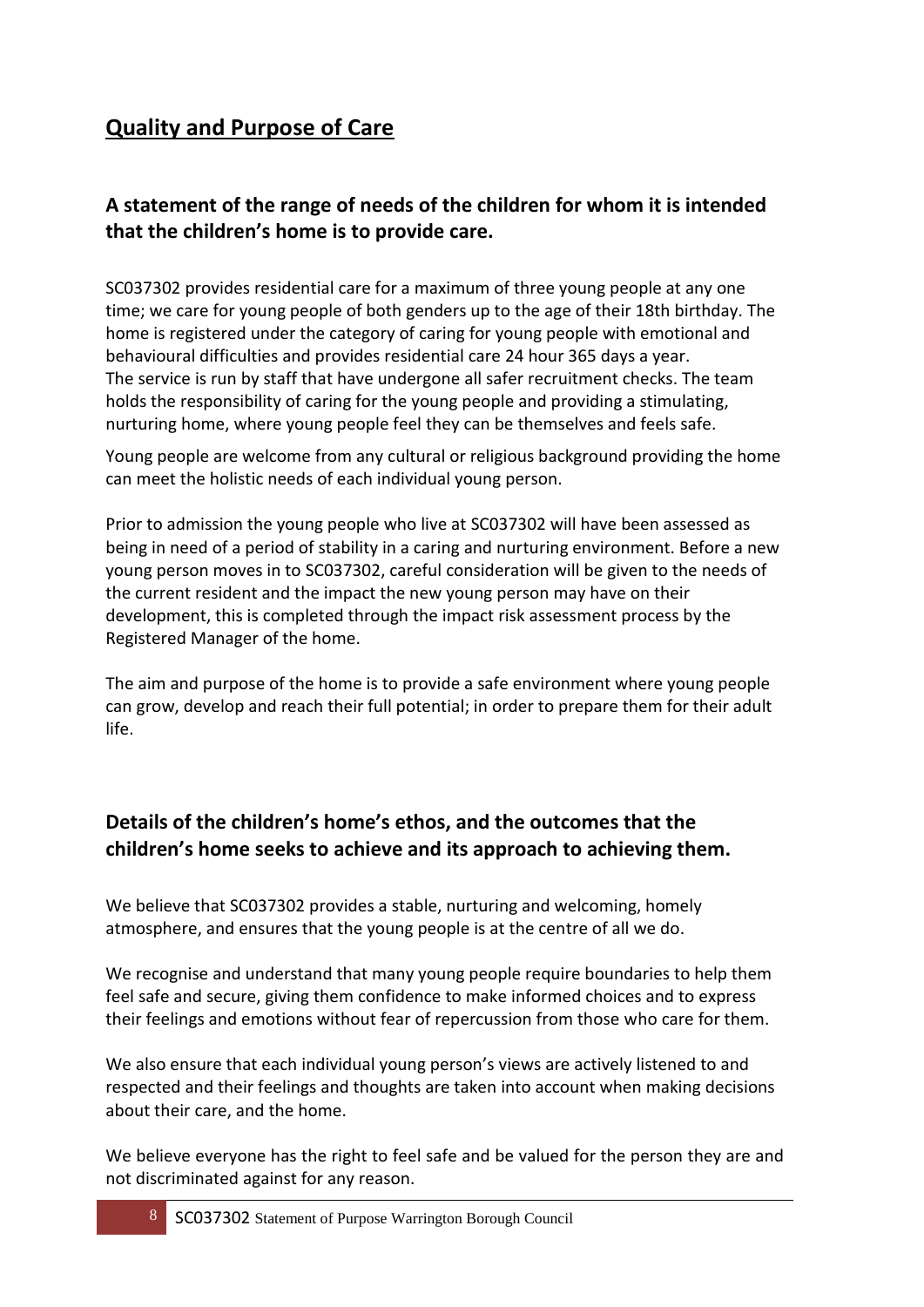### **Quality and Purpose of Care**

#### **A statement of the range of needs of the children for whom it is intended that the children's home is to provide care.**

SC037302 provides residential care for a maximum of three young people at any one time; we care for young people of both genders up to the age of their 18th birthday. The home is registered under the category of caring for young people with emotional and behavioural difficulties and provides residential care 24 hour 365 days a year. The service is run by staff that have undergone all safer recruitment checks. The team holds the responsibility of caring for the young people and providing a stimulating, nurturing home, where young people feel they can be themselves and feels safe.

Young people are welcome from any cultural or religious background providing the home can meet the holistic needs of each individual young person.

Prior to admission the young people who live at SC037302 will have been assessed as being in need of a period of stability in a caring and nurturing environment. Before a new young person moves in to SC037302, careful consideration will be given to the needs of the current resident and the impact the new young person may have on their development, this is completed through the impact risk assessment process by the Registered Manager of the home.

The aim and purpose of the home is to provide a safe environment where young people can grow, develop and reach their full potential; in order to prepare them for their adult life.

#### **Details of the children's home's ethos, and the outcomes that the children's home seeks to achieve and its approach to achieving them.**

We believe that SC037302 provides a stable, nurturing and welcoming, homely atmosphere, and ensures that the young people is at the centre of all we do.

We recognise and understand that many young people require boundaries to help them feel safe and secure, giving them confidence to make informed choices and to express their feelings and emotions without fear of repercussion from those who care for them.

We also ensure that each individual young person's views are actively listened to and respected and their feelings and thoughts are taken into account when making decisions about their care, and the home.

We believe everyone has the right to feel safe and be valued for the person they are and not discriminated against for any reason.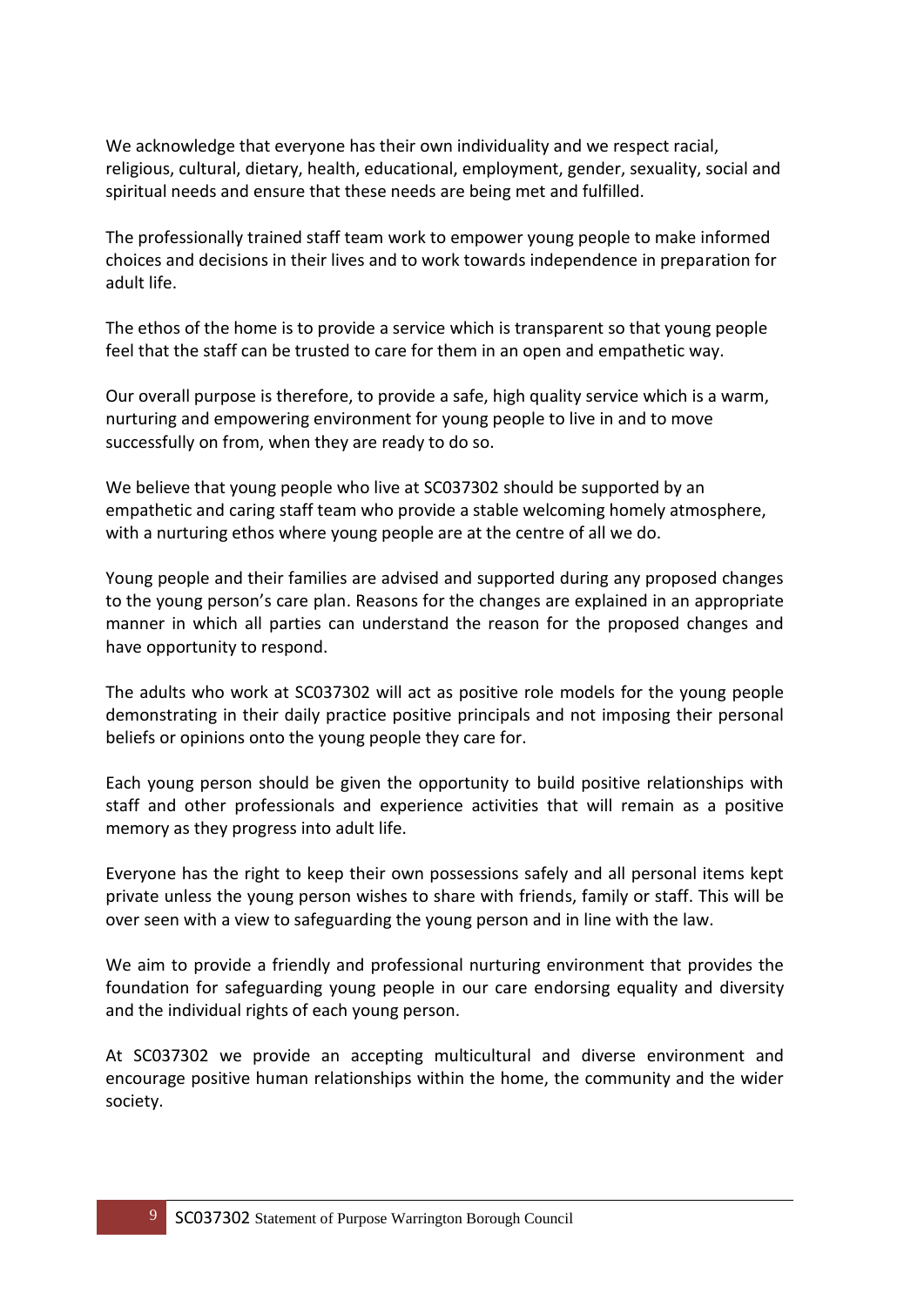We acknowledge that everyone has their own individuality and we respect racial, religious, cultural, dietary, health, educational, employment, gender, sexuality, social and spiritual needs and ensure that these needs are being met and fulfilled.

The professionally trained staff team work to empower young people to make informed choices and decisions in their lives and to work towards independence in preparation for adult life.

The ethos of the home is to provide a service which is transparent so that young people feel that the staff can be trusted to care for them in an open and empathetic way.

Our overall purpose is therefore, to provide a safe, high quality service which is a warm, nurturing and empowering environment for young people to live in and to move successfully on from, when they are ready to do so.

We believe that young people who live at SC037302 should be supported by an empathetic and caring staff team who provide a stable welcoming homely atmosphere, with a nurturing ethos where young people are at the centre of all we do.

Young people and their families are advised and supported during any proposed changes to the young person's care plan. Reasons for the changes are explained in an appropriate manner in which all parties can understand the reason for the proposed changes and have opportunity to respond.

The adults who work at SC037302 will act as positive role models for the young people demonstrating in their daily practice positive principals and not imposing their personal beliefs or opinions onto the young people they care for.

Each young person should be given the opportunity to build positive relationships with staff and other professionals and experience activities that will remain as a positive memory as they progress into adult life.

Everyone has the right to keep their own possessions safely and all personal items kept private unless the young person wishes to share with friends, family or staff. This will be over seen with a view to safeguarding the young person and in line with the law.

We aim to provide a friendly and professional nurturing environment that provides the foundation for safeguarding young people in our care endorsing equality and diversity and the individual rights of each young person.

At SC037302 we provide an accepting multicultural and diverse environment and encourage positive human relationships within the home, the community and the wider society.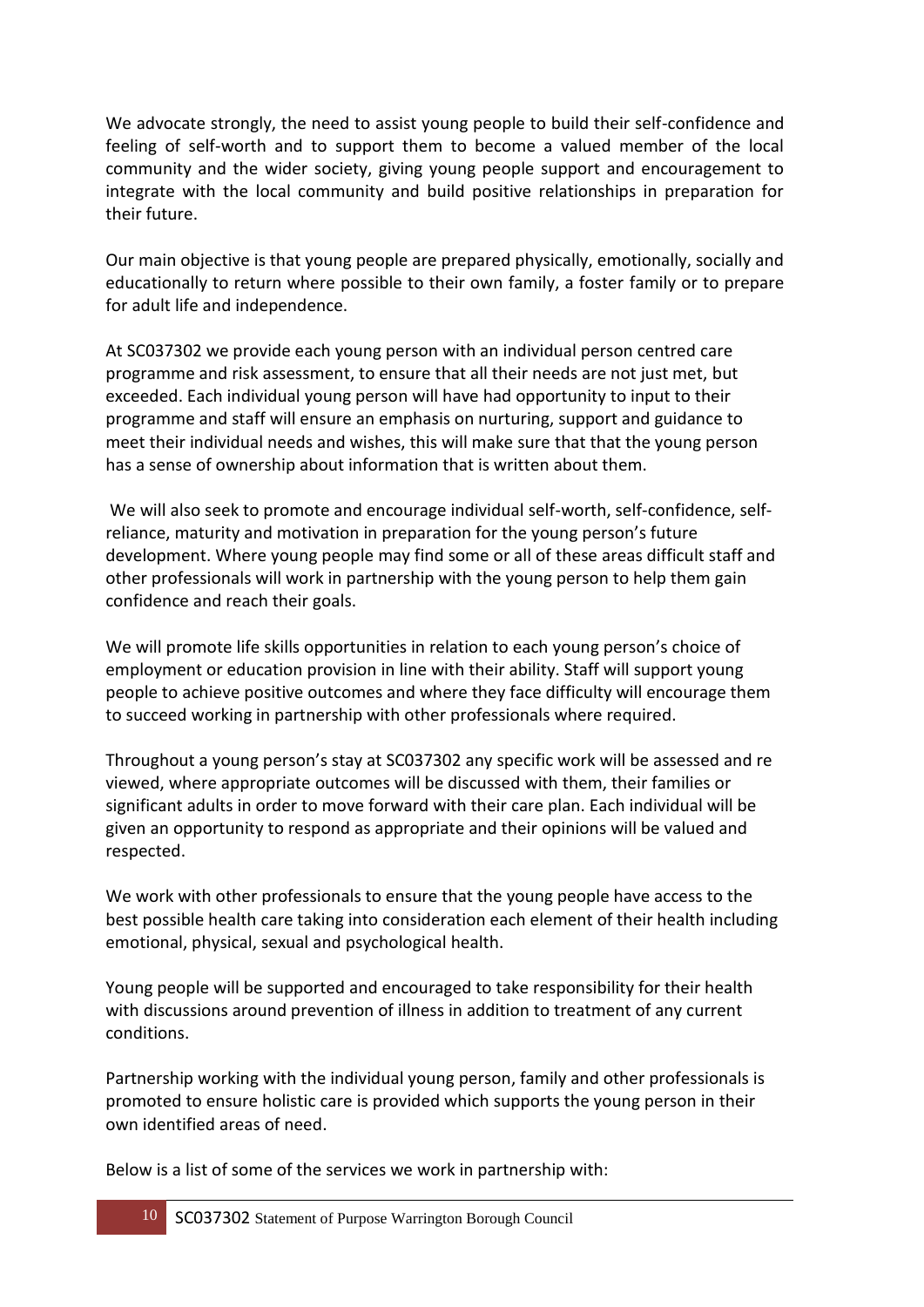We advocate strongly, the need to assist young people to build their self-confidence and feeling of self-worth and to support them to become a valued member of the local community and the wider society, giving young people support and encouragement to integrate with the local community and build positive relationships in preparation for their future.

Our main objective is that young people are prepared physically, emotionally, socially and educationally to return where possible to their own family, a foster family or to prepare for adult life and independence.

At SC037302 we provide each young person with an individual person centred care programme and risk assessment, to ensure that all their needs are not just met, but exceeded. Each individual young person will have had opportunity to input to their programme and staff will ensure an emphasis on nurturing, support and guidance to meet their individual needs and wishes, this will make sure that that the young person has a sense of ownership about information that is written about them.

We will also seek to promote and encourage individual self-worth, self-confidence, selfreliance, maturity and motivation in preparation for the young person's future development. Where young people may find some or all of these areas difficult staff and other professionals will work in partnership with the young person to help them gain confidence and reach their goals.

We will promote life skills opportunities in relation to each young person's choice of employment or education provision in line with their ability. Staff will support young people to achieve positive outcomes and where they face difficulty will encourage them to succeed working in partnership with other professionals where required.

Throughout a young person's stay at SC037302 any specific work will be assessed and re viewed, where appropriate outcomes will be discussed with them, their families or significant adults in order to move forward with their care plan. Each individual will be given an opportunity to respond as appropriate and their opinions will be valued and respected.

We work with other professionals to ensure that the young people have access to the best possible health care taking into consideration each element of their health including emotional, physical, sexual and psychological health.

Young people will be supported and encouraged to take responsibility for their health with discussions around prevention of illness in addition to treatment of any current conditions.

Partnership working with the individual young person, family and other professionals is promoted to ensure holistic care is provided which supports the young person in their own identified areas of need.

Below is a list of some of the services we work in partnership with: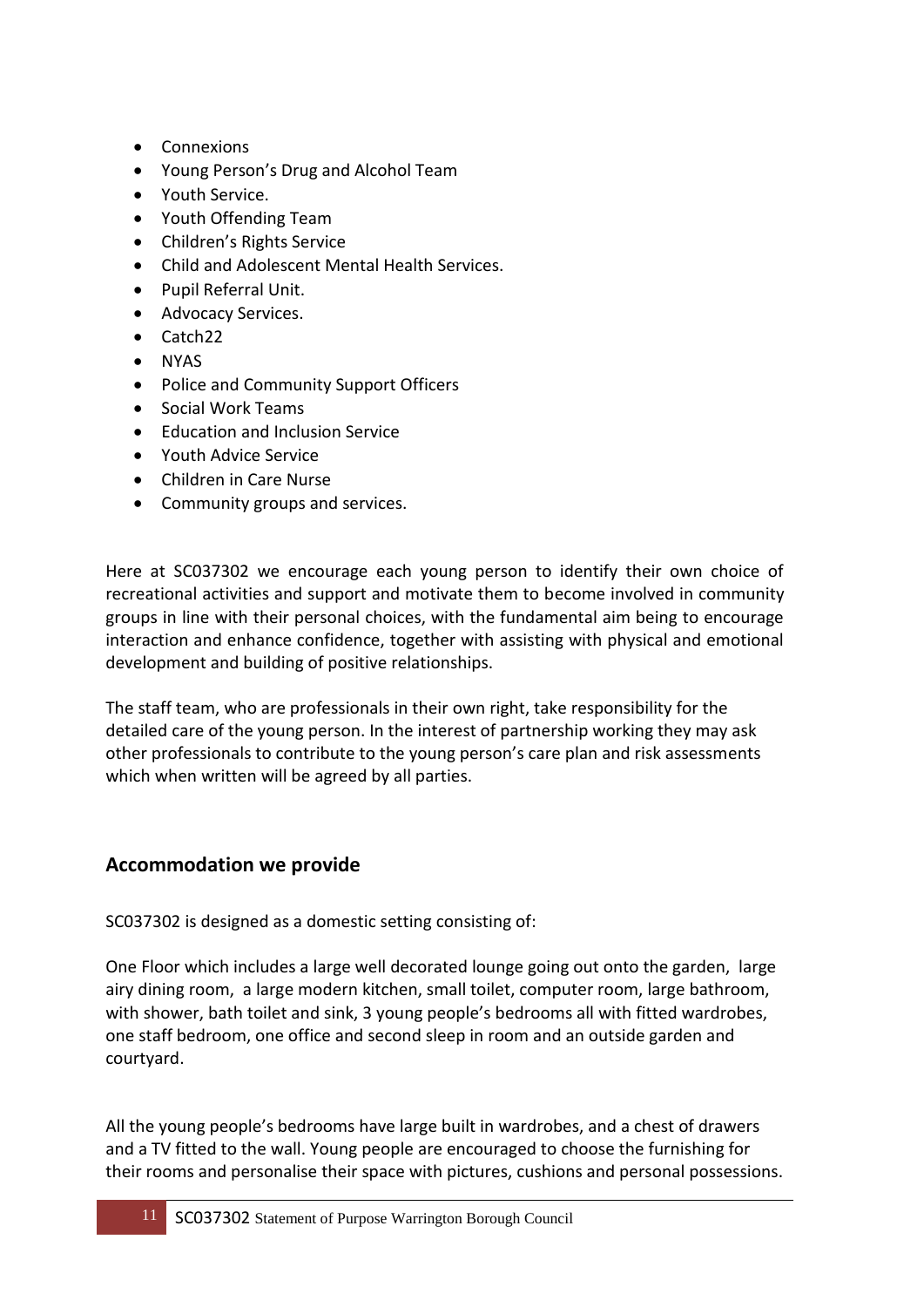- Connexions
- Young Person's Drug and Alcohol Team
- Youth Service.
- Youth Offending Team
- Children's Rights Service
- Child and Adolescent Mental Health Services.
- Pupil Referral Unit.
- Advocacy Services.
- Catch22
- NYAS
- Police and Community Support Officers
- Social Work Teams
- Fducation and Inclusion Service
- Youth Advice Service
- Children in Care Nurse
- Community groups and services.

Here at SC037302 we encourage each young person to identify their own choice of recreational activities and support and motivate them to become involved in community groups in line with their personal choices, with the fundamental aim being to encourage interaction and enhance confidence, together with assisting with physical and emotional development and building of positive relationships.

The staff team, who are professionals in their own right, take responsibility for the detailed care of the young person. In the interest of partnership working they may ask other professionals to contribute to the young person's care plan and risk assessments which when written will be agreed by all parties.

#### **Accommodation we provide**

SC037302 is designed as a domestic setting consisting of:

One Floor which includes a large well decorated lounge going out onto the garden, large airy dining room, a large modern kitchen, small toilet, computer room, large bathroom, with shower, bath toilet and sink, 3 young people's bedrooms all with fitted wardrobes, one staff bedroom, one office and second sleep in room and an outside garden and courtyard.

All the young people's bedrooms have large built in wardrobes, and a chest of drawers and a TV fitted to the wall. Young people are encouraged to choose the furnishing for their rooms and personalise their space with pictures, cushions and personal possessions.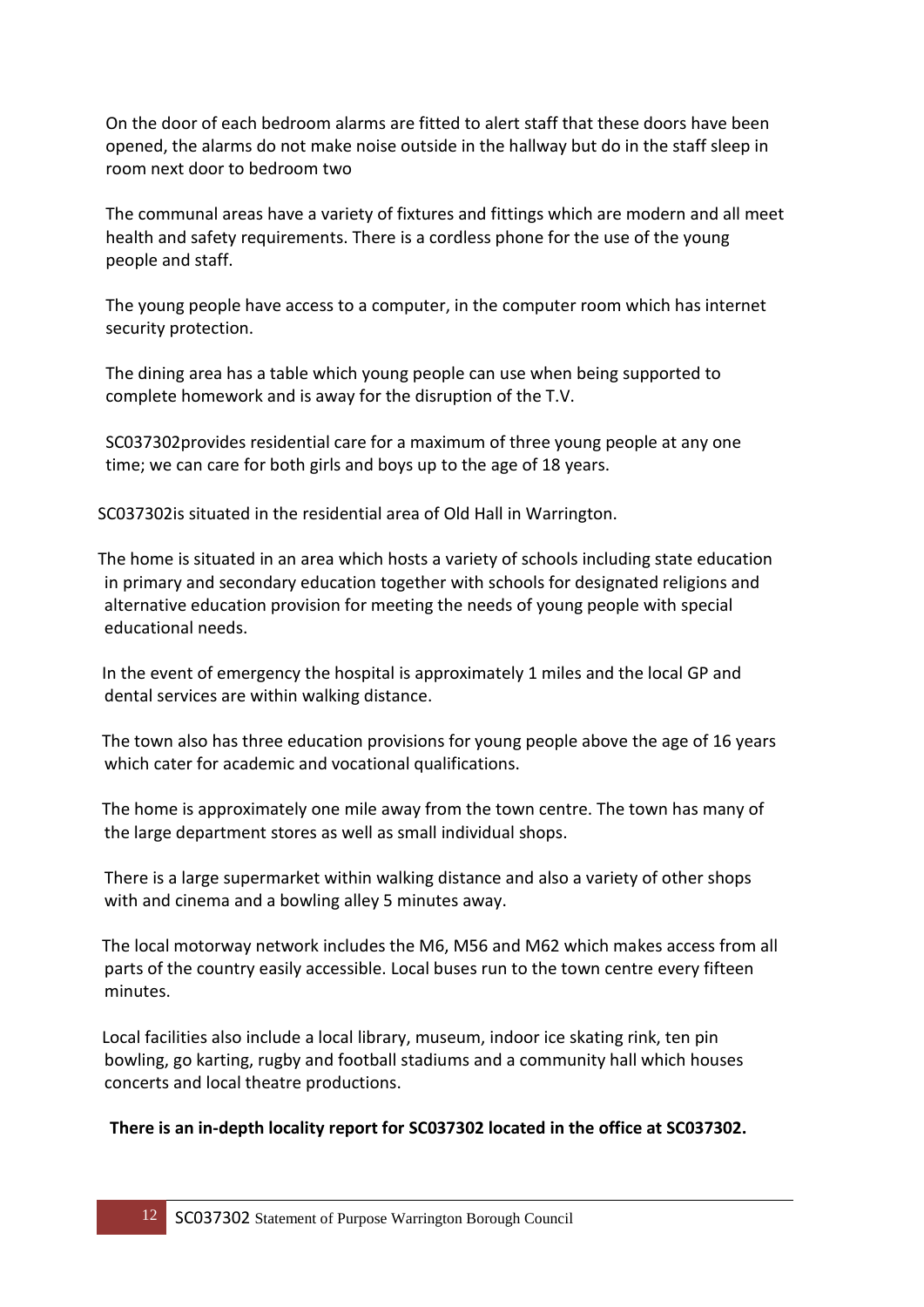On the door of each bedroom alarms are fitted to alert staff that these doors have been opened, the alarms do not make noise outside in the hallway but do in the staff sleep in room next door to bedroom two

The communal areas have a variety of fixtures and fittings which are modern and all meet health and safety requirements. There is a cordless phone for the use of the young people and staff.

The young people have access to a computer, in the computer room which has internet security protection.

The dining area has a table which young people can use when being supported to complete homework and is away for the disruption of the T.V.

SC037302provides residential care for a maximum of three young people at any one time; we can care for both girls and boys up to the age of 18 years.

SC037302is situated in the residential area of Old Hall in Warrington.

The home is situated in an area which hosts a variety of schools including state education in primary and secondary education together with schools for designated religions and alternative education provision for meeting the needs of young people with special educational needs.

 In the event of emergency the hospital is approximately 1 miles and the local GP and dental services are within walking distance.

 The town also has three education provisions for young people above the age of 16 years which cater for academic and vocational qualifications.

 The home is approximately one mile away from the town centre. The town has many of the large department stores as well as small individual shops.

There is a large supermarket within walking distance and also a variety of other shops with and cinema and a bowling alley 5 minutes away.

 The local motorway network includes the M6, M56 and M62 which makes access from all parts of the country easily accessible. Local buses run to the town centre every fifteen minutes.

 Local facilities also include a local library, museum, indoor ice skating rink, ten pin bowling, go karting, rugby and football stadiums and a community hall which houses concerts and local theatre productions.

#### **There is an in-depth locality report for SC037302 located in the office at SC037302.**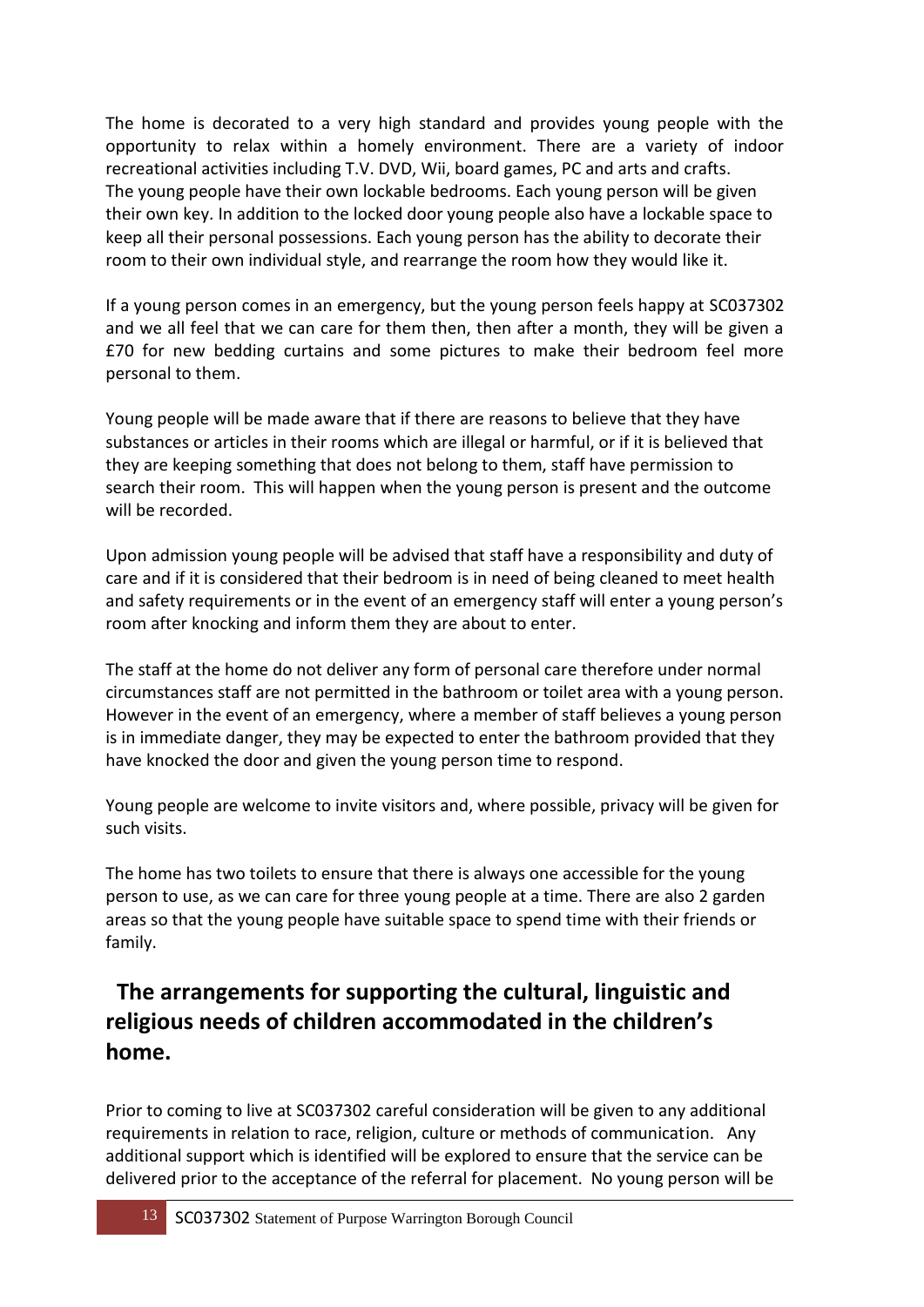The home is decorated to a very high standard and provides young people with the opportunity to relax within a homely environment. There are a variety of indoor recreational activities including T.V. DVD, Wii, board games, PC and arts and crafts. The young people have their own lockable bedrooms. Each young person will be given their own key. In addition to the locked door young people also have a lockable space to keep all their personal possessions. Each young person has the ability to decorate their room to their own individual style, and rearrange the room how they would like it.

If a young person comes in an emergency, but the young person feels happy at SC037302 and we all feel that we can care for them then, then after a month, they will be given a £70 for new bedding curtains and some pictures to make their bedroom feel more personal to them.

Young people will be made aware that if there are reasons to believe that they have substances or articles in their rooms which are illegal or harmful, or if it is believed that they are keeping something that does not belong to them, staff have permission to search their room. This will happen when the young person is present and the outcome will be recorded.

Upon admission young people will be advised that staff have a responsibility and duty of care and if it is considered that their bedroom is in need of being cleaned to meet health and safety requirements or in the event of an emergency staff will enter a young person's room after knocking and inform them they are about to enter.

The staff at the home do not deliver any form of personal care therefore under normal circumstances staff are not permitted in the bathroom or toilet area with a young person. However in the event of an emergency, where a member of staff believes a young person is in immediate danger, they may be expected to enter the bathroom provided that they have knocked the door and given the young person time to respond.

Young people are welcome to invite visitors and, where possible, privacy will be given for such visits.

The home has two toilets to ensure that there is always one accessible for the young person to use, as we can care for three young people at a time. There are also 2 garden areas so that the young people have suitable space to spend time with their friends or family.

### **The arrangements for supporting the cultural, linguistic and religious needs of children accommodated in the children's home.**

Prior to coming to live at SC037302 careful consideration will be given to any additional requirements in relation to race, religion, culture or methods of communication. Any additional support which is identified will be explored to ensure that the service can be delivered prior to the acceptance of the referral for placement. No young person will be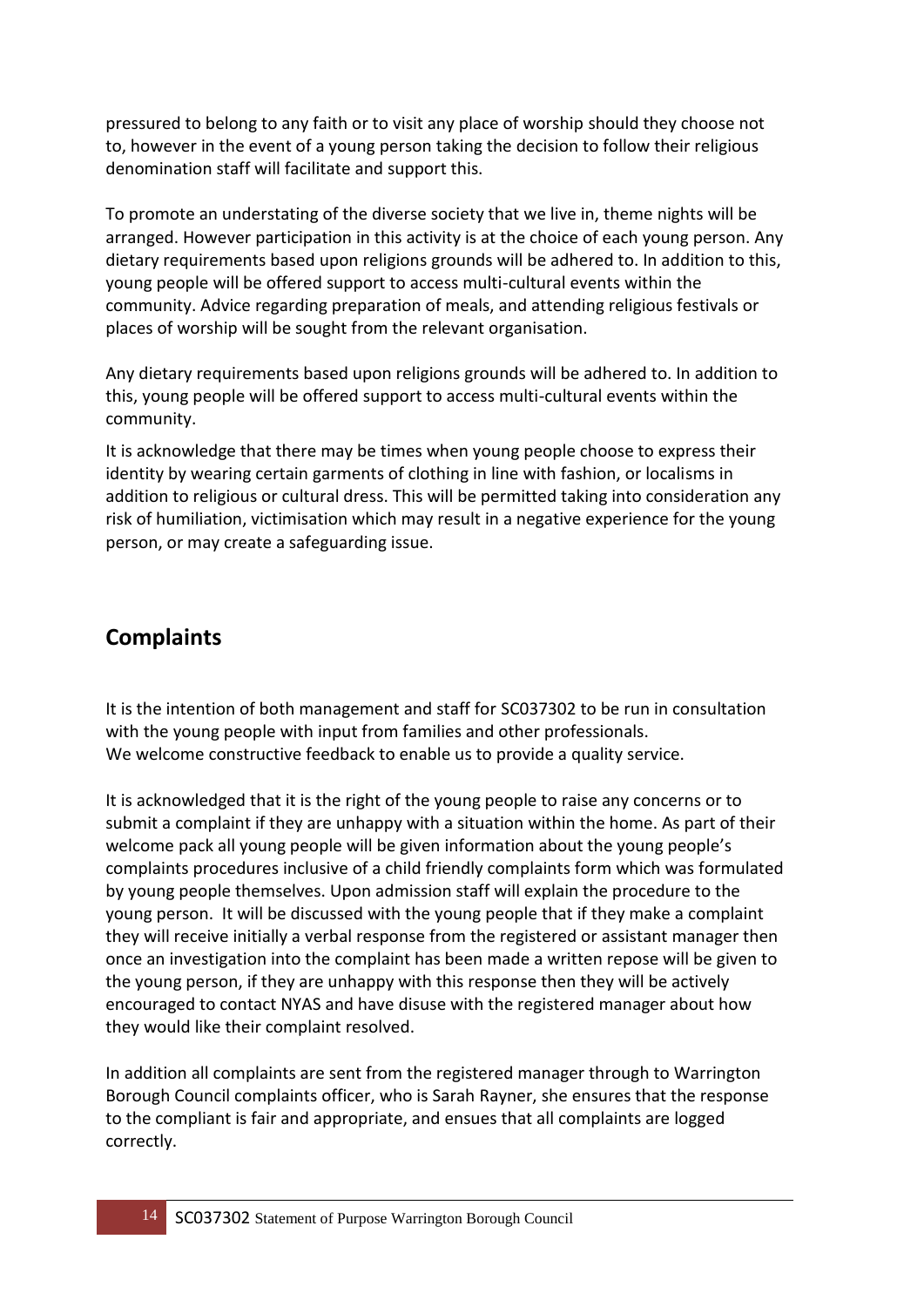pressured to belong to any faith or to visit any place of worship should they choose not to, however in the event of a young person taking the decision to follow their religious denomination staff will facilitate and support this.

To promote an understating of the diverse society that we live in, theme nights will be arranged. However participation in this activity is at the choice of each young person. Any dietary requirements based upon religions grounds will be adhered to. In addition to this, young people will be offered support to access multi-cultural events within the community. Advice regarding preparation of meals, and attending religious festivals or places of worship will be sought from the relevant organisation.

Any dietary requirements based upon religions grounds will be adhered to. In addition to this, young people will be offered support to access multi-cultural events within the community.

It is acknowledge that there may be times when young people choose to express their identity by wearing certain garments of clothing in line with fashion, or localisms in addition to religious or cultural dress. This will be permitted taking into consideration any risk of humiliation, victimisation which may result in a negative experience for the young person, or may create a safeguarding issue.

### **Complaints**

It is the intention of both management and staff for SC037302 to be run in consultation with the young people with input from families and other professionals. We welcome constructive feedback to enable us to provide a quality service.

It is acknowledged that it is the right of the young people to raise any concerns or to submit a complaint if they are unhappy with a situation within the home. As part of their welcome pack all young people will be given information about the young people's complaints procedures inclusive of a child friendly complaints form which was formulated by young people themselves. Upon admission staff will explain the procedure to the young person. It will be discussed with the young people that if they make a complaint they will receive initially a verbal response from the registered or assistant manager then once an investigation into the complaint has been made a written repose will be given to the young person, if they are unhappy with this response then they will be actively encouraged to contact NYAS and have disuse with the registered manager about how they would like their complaint resolved.

In addition all complaints are sent from the registered manager through to Warrington Borough Council complaints officer, who is Sarah Rayner, she ensures that the response to the compliant is fair and appropriate, and ensues that all complaints are logged correctly.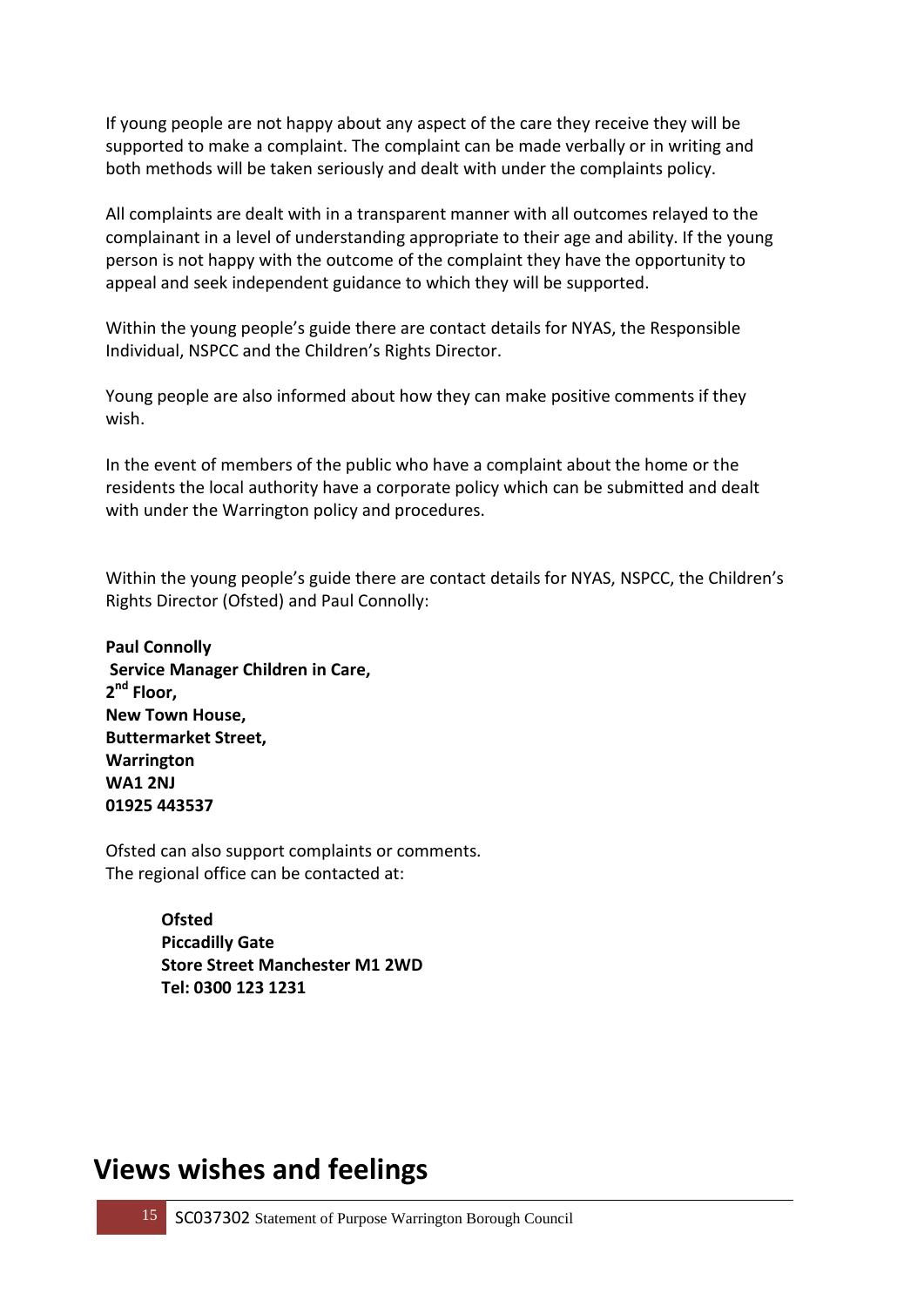If young people are not happy about any aspect of the care they receive they will be supported to make a complaint. The complaint can be made verbally or in writing and both methods will be taken seriously and dealt with under the complaints policy.

All complaints are dealt with in a transparent manner with all outcomes relayed to the complainant in a level of understanding appropriate to their age and ability. If the young person is not happy with the outcome of the complaint they have the opportunity to appeal and seek independent guidance to which they will be supported.

Within the young people's guide there are contact details for NYAS, the Responsible Individual, NSPCC and the Children's Rights Director.

Young people are also informed about how they can make positive comments if they wish.

In the event of members of the public who have a complaint about the home or the residents the local authority have a corporate policy which can be submitted and dealt with under the Warrington policy and procedures.

Within the young people's guide there are contact details for NYAS, NSPCC, the Children's Rights Director (Ofsted) and Paul Connolly:

**Paul Connolly Service Manager Children in Care, 2 nd Floor, New Town House, Buttermarket Street, Warrington WA1 2NJ 01925 443537**

Ofsted can also support complaints or comments. The regional office can be contacted at:

> **Ofsted Piccadilly Gate Store Street Manchester M1 2WD Tel: 0300 123 1231**

### **Views wishes and feelings**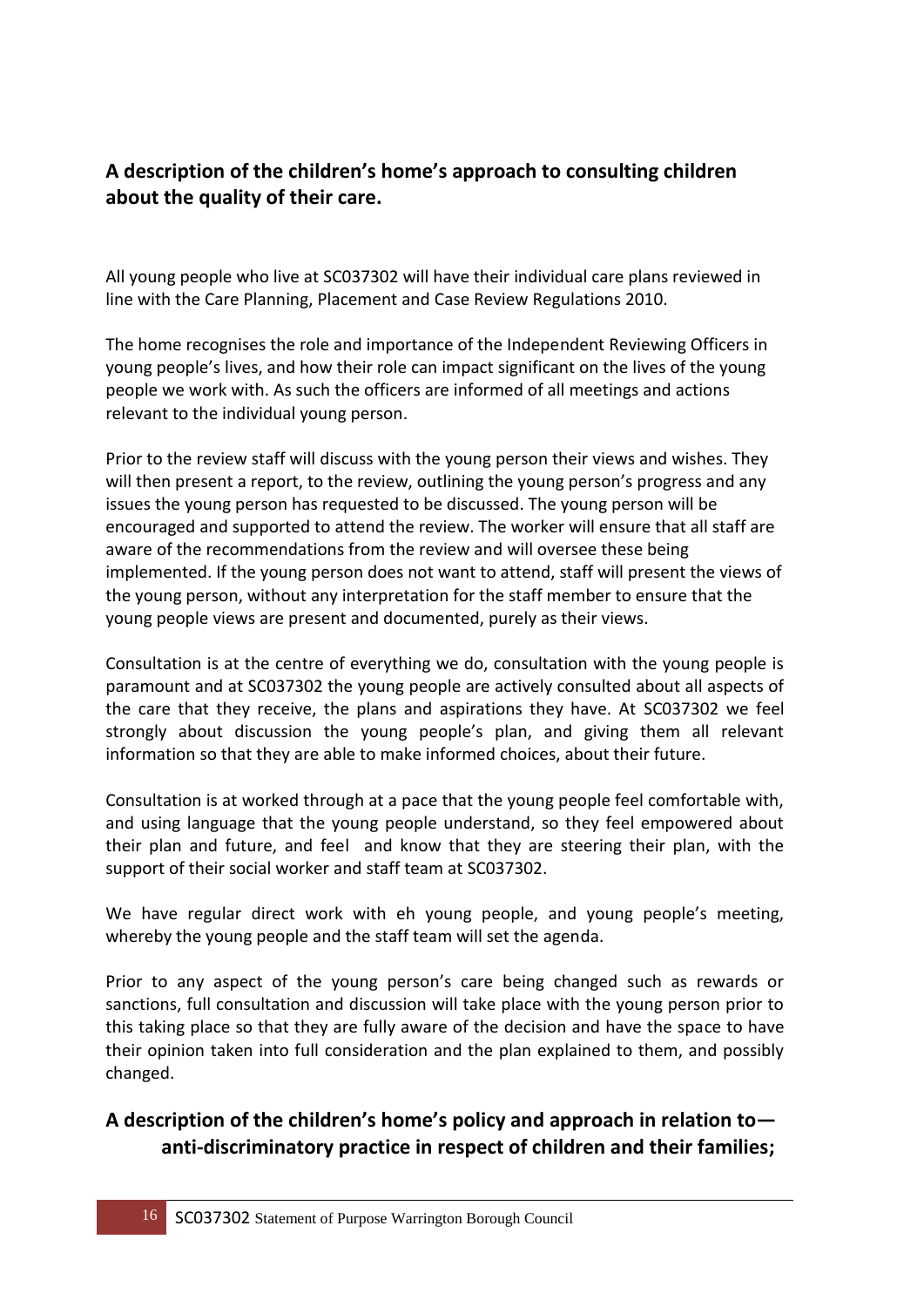#### **A description of the children's home's approach to consulting children about the quality of their care.**

All young people who live at SC037302 will have their individual care plans reviewed in line with the Care Planning, Placement and Case Review Regulations 2010.

The home recognises the role and importance of the Independent Reviewing Officers in young people's lives, and how their role can impact significant on the lives of the young people we work with. As such the officers are informed of all meetings and actions relevant to the individual young person.

Prior to the review staff will discuss with the young person their views and wishes. They will then present a report, to the review, outlining the young person's progress and any issues the young person has requested to be discussed. The young person will be encouraged and supported to attend the review. The worker will ensure that all staff are aware of the recommendations from the review and will oversee these being implemented. If the young person does not want to attend, staff will present the views of the young person, without any interpretation for the staff member to ensure that the young people views are present and documented, purely as their views.

Consultation is at the centre of everything we do, consultation with the young people is paramount and at SC037302 the young people are actively consulted about all aspects of the care that they receive, the plans and aspirations they have. At SC037302 we feel strongly about discussion the young people's plan, and giving them all relevant information so that they are able to make informed choices, about their future.

Consultation is at worked through at a pace that the young people feel comfortable with, and using language that the young people understand, so they feel empowered about their plan and future, and feel and know that they are steering their plan, with the support of their social worker and staff team at SC037302.

We have regular direct work with eh young people, and young people's meeting, whereby the young people and the staff team will set the agenda.

Prior to any aspect of the young person's care being changed such as rewards or sanctions, full consultation and discussion will take place with the young person prior to this taking place so that they are fully aware of the decision and have the space to have their opinion taken into full consideration and the plan explained to them, and possibly changed.

#### **A description of the children's home's policy and approach in relation to anti-discriminatory practice in respect of children and their families;**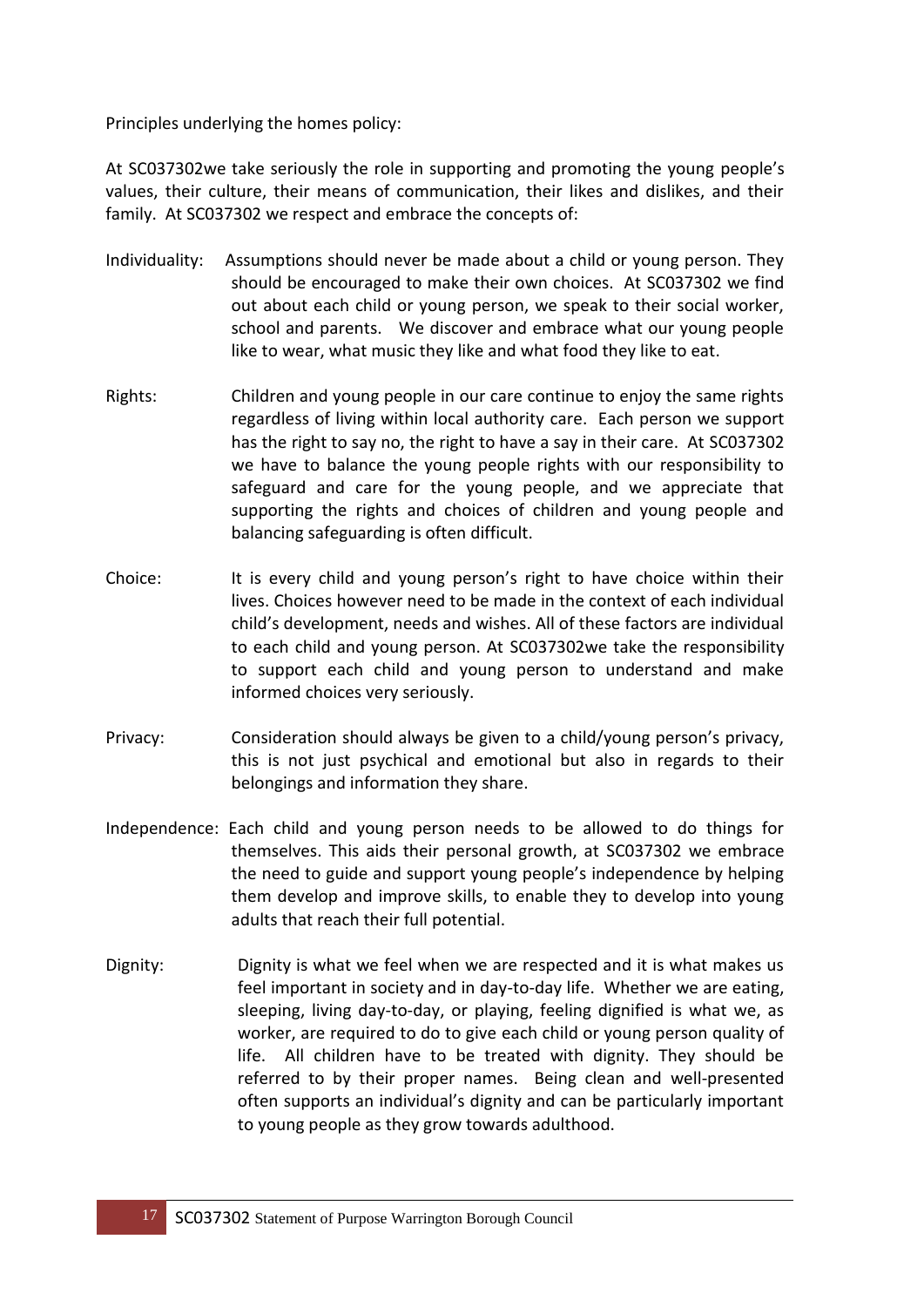Principles underlying the homes policy:

At SC037302we take seriously the role in supporting and promoting the young people's values, their culture, their means of communication, their likes and dislikes, and their family. At SC037302 we respect and embrace the concepts of:

- Individuality:Assumptions should never be made about a child or young person. They should be encouraged to make their own choices. At SC037302 we find out about each child or young person, we speak to their social worker, school and parents. We discover and embrace what our young people like to wear, what music they like and what food they like to eat.
- Rights: Children and young people in our care continue to enjoy the same rights regardless of living within local authority care. Each person we support has the right to say no, the right to have a say in their care. At SC037302 we have to balance the young people rights with our responsibility to safeguard and care for the young people, and we appreciate that supporting the rights and choices of children and young people and balancing safeguarding is often difficult.
- Choice:It is every child and young person's right to have choice within their lives. Choices however need to be made in the context of each individual child's development, needs and wishes. All of these factors are individual to each child and young person. At SC037302we take the responsibility to support each child and young person to understand and make informed choices very seriously.
- Privacy:Consideration should always be given to a child/young person's privacy, this is not just psychical and emotional but also in regards to their belongings and information they share.
- Independence: Each child and young person needs to be allowed to do things for themselves. This aids their personal growth, at SC037302 we embrace the need to guide and support young people's independence by helping them develop and improve skills, to enable they to develop into young adults that reach their full potential.
- Dignity: Dignity is what we feel when we are respected and it is what makes us feel important in society and in day-to-day life. Whether we are eating, sleeping, living day-to-day, or playing, feeling dignified is what we, as worker, are required to do to give each child or young person quality of life. All children have to be treated with dignity. They should be referred to by their proper names. Being clean and well-presented often supports an individual's dignity and can be particularly important to young people as they grow towards adulthood.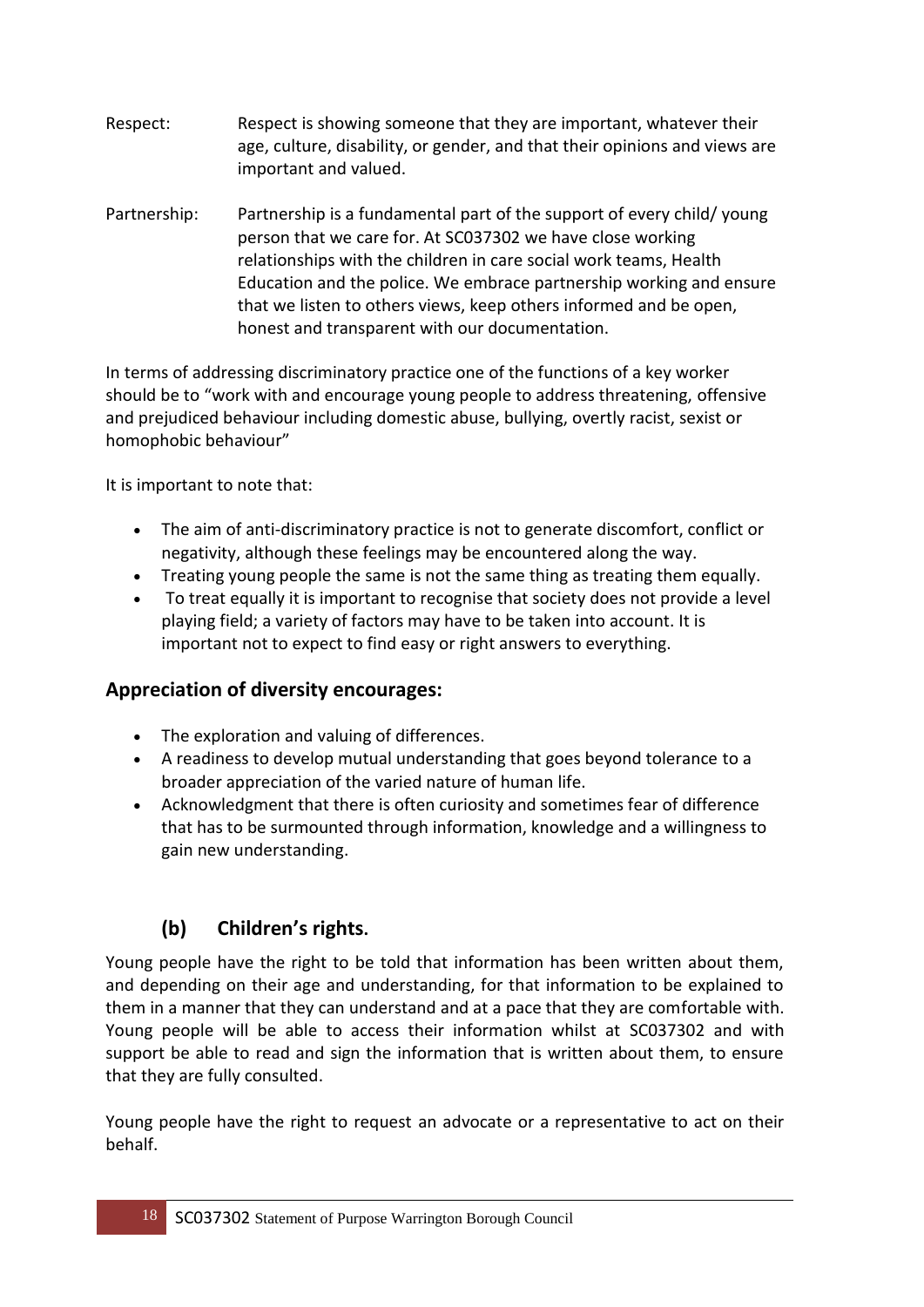- Respect:Respect is showing someone that they are important, whatever their age, culture, disability, or gender, and that their opinions and views are important and valued.
- Partnership: Partnership is a fundamental part of the support of every child/ young person that we care for. At SC037302 we have close working relationships with the children in care social work teams, Health Education and the police. We embrace partnership working and ensure that we listen to others views, keep others informed and be open, honest and transparent with our documentation.

In terms of addressing discriminatory practice one of the functions of a key worker should be to "work with and encourage young people to address threatening, offensive and prejudiced behaviour including domestic abuse, bullying, overtly racist, sexist or homophobic behaviour"

It is important to note that:

- The aim of anti-discriminatory practice is not to generate discomfort, conflict or negativity, although these feelings may be encountered along the way.
- Treating young people the same is not the same thing as treating them equally.
- To treat equally it is important to recognise that society does not provide a level playing field; a variety of factors may have to be taken into account. It is important not to expect to find easy or right answers to everything.

#### **Appreciation of diversity encourages:**

- The exploration and valuing of differences.
- A readiness to develop mutual understanding that goes beyond tolerance to a broader appreciation of the varied nature of human life.
- Acknowledgment that there is often curiosity and sometimes fear of difference that has to be surmounted through information, knowledge and a willingness to gain new understanding.

#### **(b) Children's rights.**

Young people have the right to be told that information has been written about them, and depending on their age and understanding, for that information to be explained to them in a manner that they can understand and at a pace that they are comfortable with. Young people will be able to access their information whilst at SC037302 and with support be able to read and sign the information that is written about them, to ensure that they are fully consulted.

Young people have the right to request an advocate or a representative to act on their behalf.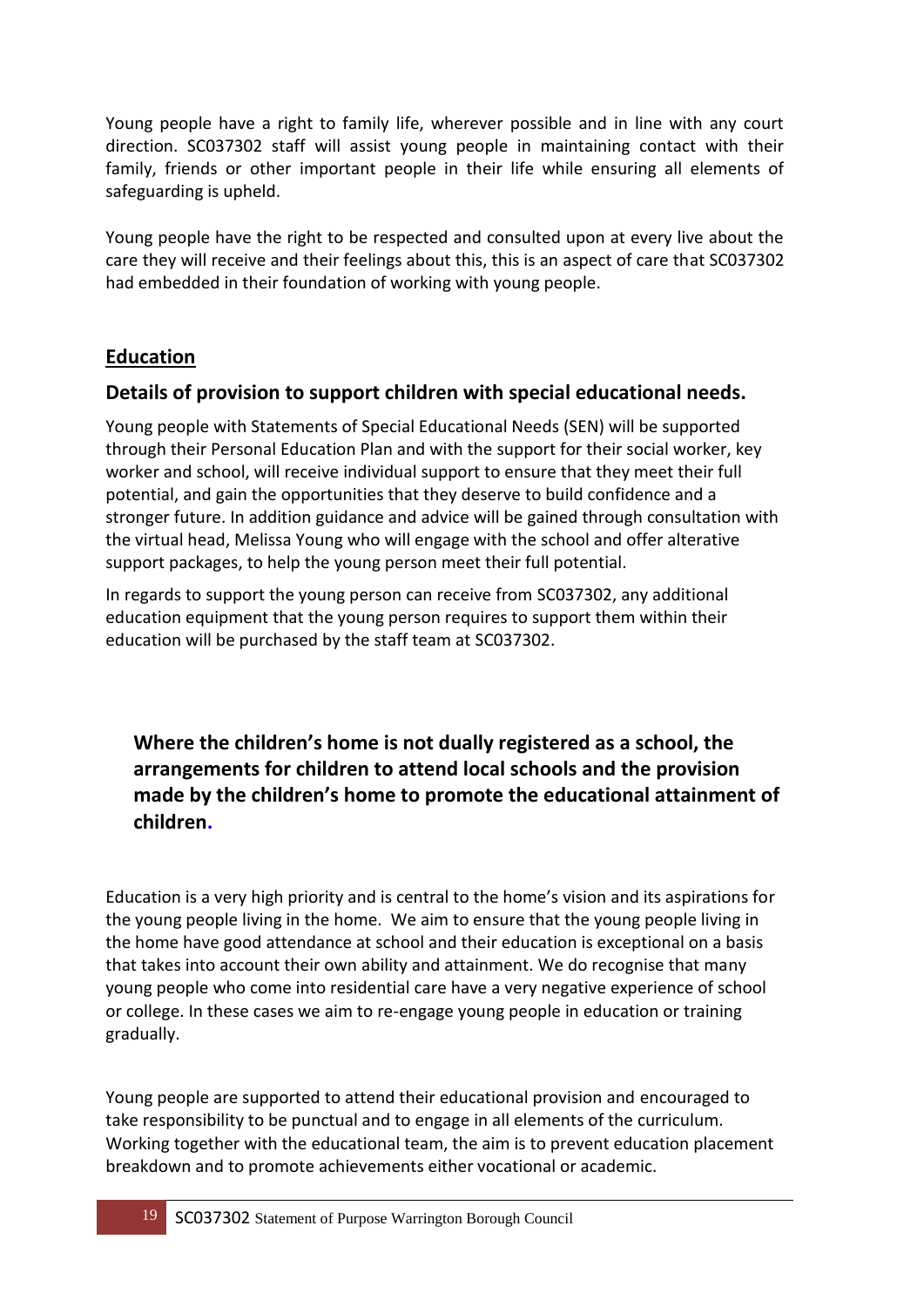Young people have a right to family life, wherever possible and in line with any court direction. SC037302 staff will assist young people in maintaining contact with their family, friends or other important people in their life while ensuring all elements of safeguarding is upheld.

Young people have the right to be respected and consulted upon at every live about the care they will receive and their feelings about this, this is an aspect of care that SC037302 had embedded in their foundation of working with young people.

#### **Education**

#### **Details of provision to support children with special educational needs.**

Young people with Statements of Special Educational Needs (SEN) will be supported through their Personal Education Plan and with the support for their social worker, key worker and school, will receive individual support to ensure that they meet their full potential, and gain the opportunities that they deserve to build confidence and a stronger future. In addition guidance and advice will be gained through consultation with the virtual head, Melissa Young who will engage with the school and offer alterative support packages, to help the young person meet their full potential.

In regards to support the young person can receive from SC037302, any additional education equipment that the young person requires to support them within their education will be purchased by the staff team at SC037302.

**Where the children's home is not dually registered as a school, the arrangements for children to attend local schools and the provision made by the children's home to promote the educational attainment of children.** 

Education is a very high priority and is central to the home's vision and its aspirations for the young people living in the home. We aim to ensure that the young people living in the home have good attendance at school and their education is exceptional on a basis that takes into account their own ability and attainment. We do recognise that many young people who come into residential care have a very negative experience of school or college. In these cases we aim to re-engage young people in education or training gradually.

Young people are supported to attend their educational provision and encouraged to take responsibility to be punctual and to engage in all elements of the curriculum. Working together with the educational team, the aim is to prevent education placement breakdown and to promote achievements either vocational or academic.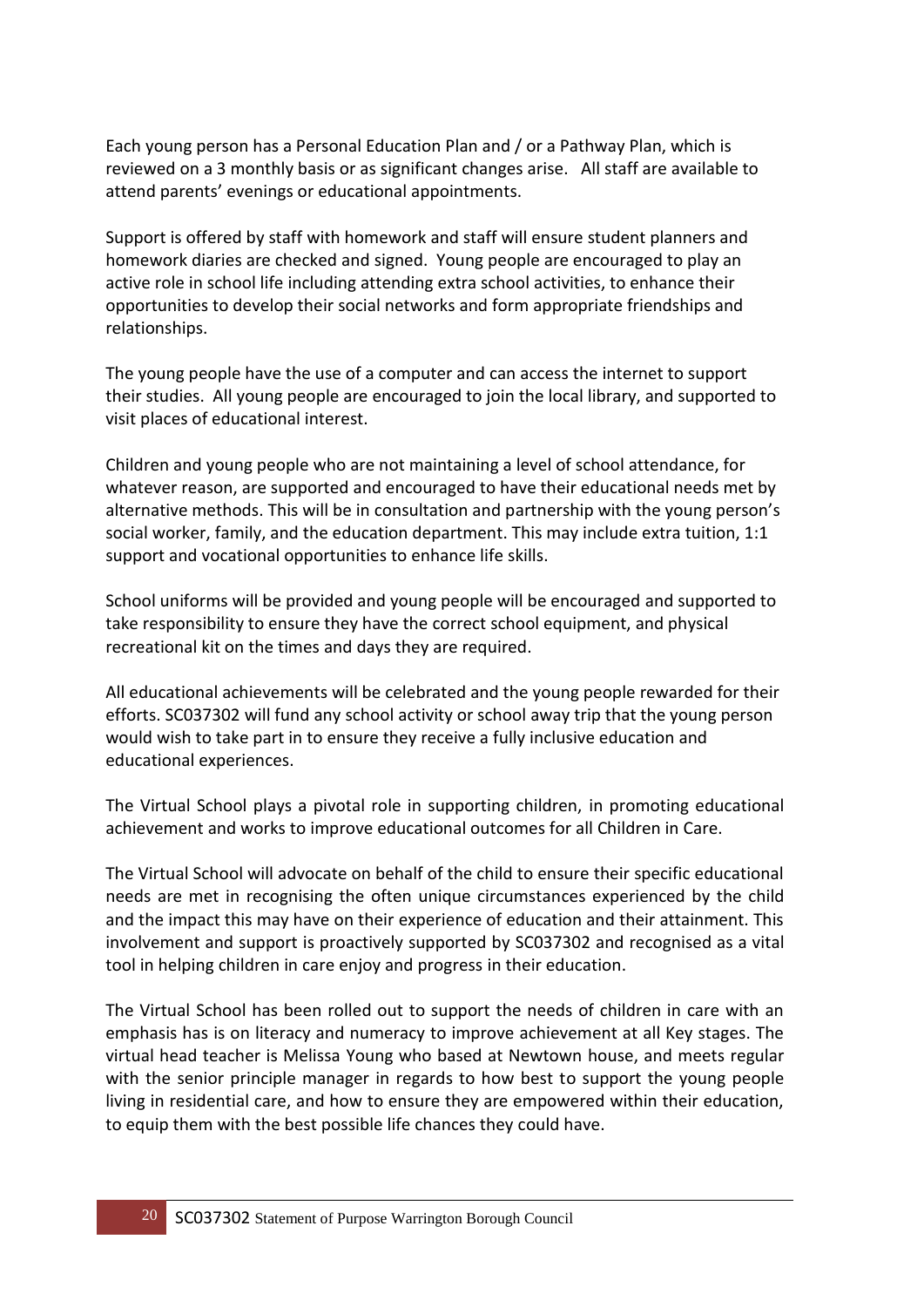Each young person has a Personal Education Plan and / or a Pathway Plan, which is reviewed on a 3 monthly basis or as significant changes arise. All staff are available to attend parents' evenings or educational appointments.

Support is offered by staff with homework and staff will ensure student planners and homework diaries are checked and signed. Young people are encouraged to play an active role in school life including attending extra school activities, to enhance their opportunities to develop their social networks and form appropriate friendships and relationships.

The young people have the use of a computer and can access the internet to support their studies. All young people are encouraged to join the local library, and supported to visit places of educational interest.

Children and young people who are not maintaining a level of school attendance, for whatever reason, are supported and encouraged to have their educational needs met by alternative methods. This will be in consultation and partnership with the young person's social worker, family, and the education department. This may include extra tuition, 1:1 support and vocational opportunities to enhance life skills.

School uniforms will be provided and young people will be encouraged and supported to take responsibility to ensure they have the correct school equipment, and physical recreational kit on the times and days they are required.

All educational achievements will be celebrated and the young people rewarded for their efforts. SC037302 will fund any school activity or school away trip that the young person would wish to take part in to ensure they receive a fully inclusive education and educational experiences.

The Virtual School plays a pivotal role in supporting children, in promoting educational achievement and works to improve educational outcomes for all Children in Care.

The Virtual School will advocate on behalf of the child to ensure their specific educational needs are met in recognising the often unique circumstances experienced by the child and the impact this may have on their experience of education and their attainment. This involvement and support is proactively supported by SC037302 and recognised as a vital tool in helping children in care enjoy and progress in their education.

The Virtual School has been rolled out to support the needs of children in care with an emphasis has is on literacy and numeracy to improve achievement at all Key stages. The virtual head teacher is Melissa Young who based at Newtown house, and meets regular with the senior principle manager in regards to how best to support the young people living in residential care, and how to ensure they are empowered within their education, to equip them with the best possible life chances they could have.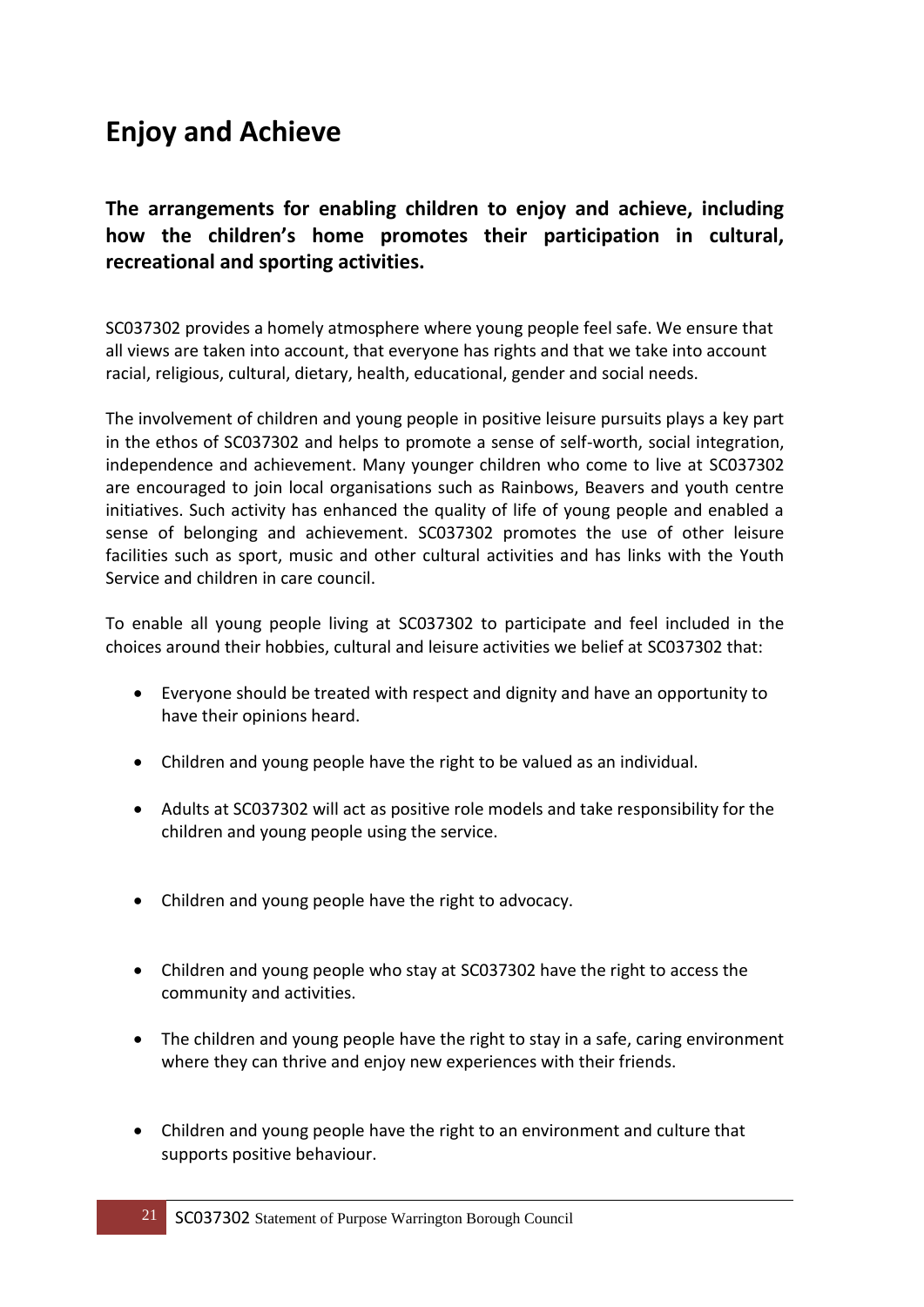## **Enjoy and Achieve**

**The arrangements for enabling children to enjoy and achieve, including how the children's home promotes their participation in cultural, recreational and sporting activities.** 

SC037302 provides a homely atmosphere where young people feel safe. We ensure that all views are taken into account, that everyone has rights and that we take into account racial, religious, cultural, dietary, health, educational, gender and social needs.

The involvement of children and young people in positive leisure pursuits plays a key part in the ethos of SC037302 and helps to promote a sense of self-worth, social integration, independence and achievement. Many younger children who come to live at SC037302 are encouraged to join local organisations such as Rainbows, Beavers and youth centre initiatives. Such activity has enhanced the quality of life of young people and enabled a sense of belonging and achievement. SC037302 promotes the use of other leisure facilities such as sport, music and other cultural activities and has links with the Youth Service and children in care council.

To enable all young people living at SC037302 to participate and feel included in the choices around their hobbies, cultural and leisure activities we belief at SC037302 that:

- Everyone should be treated with respect and dignity and have an opportunity to have their opinions heard.
- Children and young people have the right to be valued as an individual.
- Adults at SC037302 will act as positive role models and take responsibility for the children and young people using the service.
- Children and young people have the right to advocacy.
- Children and young people who stay at SC037302 have the right to access the community and activities.
- The children and young people have the right to stay in a safe, caring environment where they can thrive and enjoy new experiences with their friends.
- Children and young people have the right to an environment and culture that supports positive behaviour.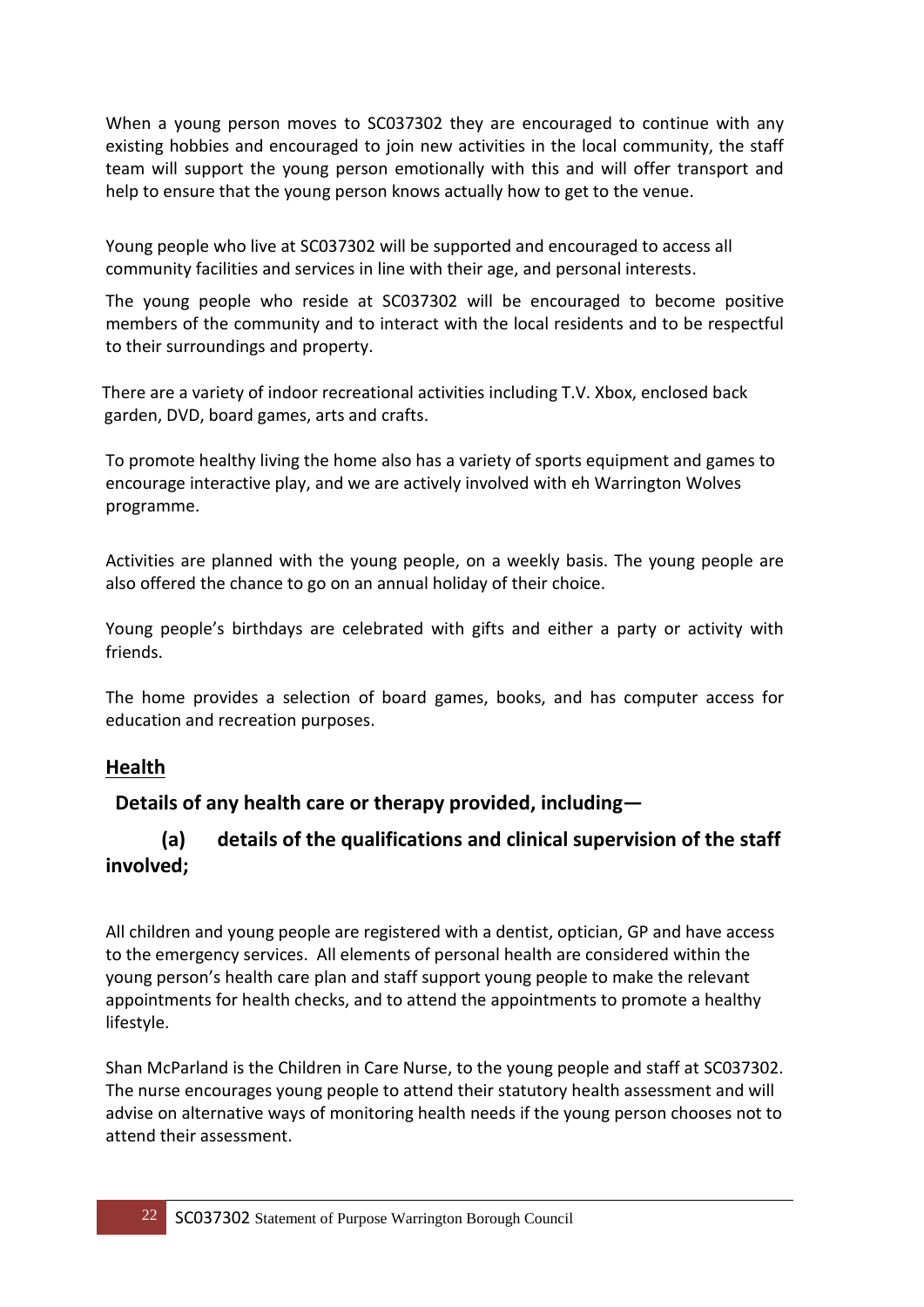When a young person moves to SC037302 they are encouraged to continue with any existing hobbies and encouraged to join new activities in the local community, the staff team will support the young person emotionally with this and will offer transport and help to ensure that the young person knows actually how to get to the venue.

Young people who live at SC037302 will be supported and encouraged to access all community facilities and services in line with their age, and personal interests.

The young people who reside at SC037302 will be encouraged to become positive members of the community and to interact with the local residents and to be respectful to their surroundings and property.

 There are a variety of indoor recreational activities including T.V. Xbox, enclosed back garden, DVD, board games, arts and crafts.

To promote healthy living the home also has a variety of sports equipment and games to encourage interactive play, and we are actively involved with eh Warrington Wolves programme.

Activities are planned with the young people, on a weekly basis. The young people are also offered the chance to go on an annual holiday of their choice.

Young people's birthdays are celebrated with gifts and either a party or activity with friends.

The home provides a selection of board games, books, and has computer access for education and recreation purposes.

#### **Health**

#### **Details of any health care or therapy provided, including—**

#### **(a) details of the qualifications and clinical supervision of the staff involved;**

All children and young people are registered with a dentist, optician, GP and have access to the emergency services. All elements of personal health are considered within the young person's health care plan and staff support young people to make the relevant appointments for health checks, and to attend the appointments to promote a healthy lifestyle.

Shan McParland is the Children in Care Nurse, to the young people and staff at SC037302. The nurse encourages young people to attend their statutory health assessment and will advise on alternative ways of monitoring health needs if the young person chooses not to attend their assessment.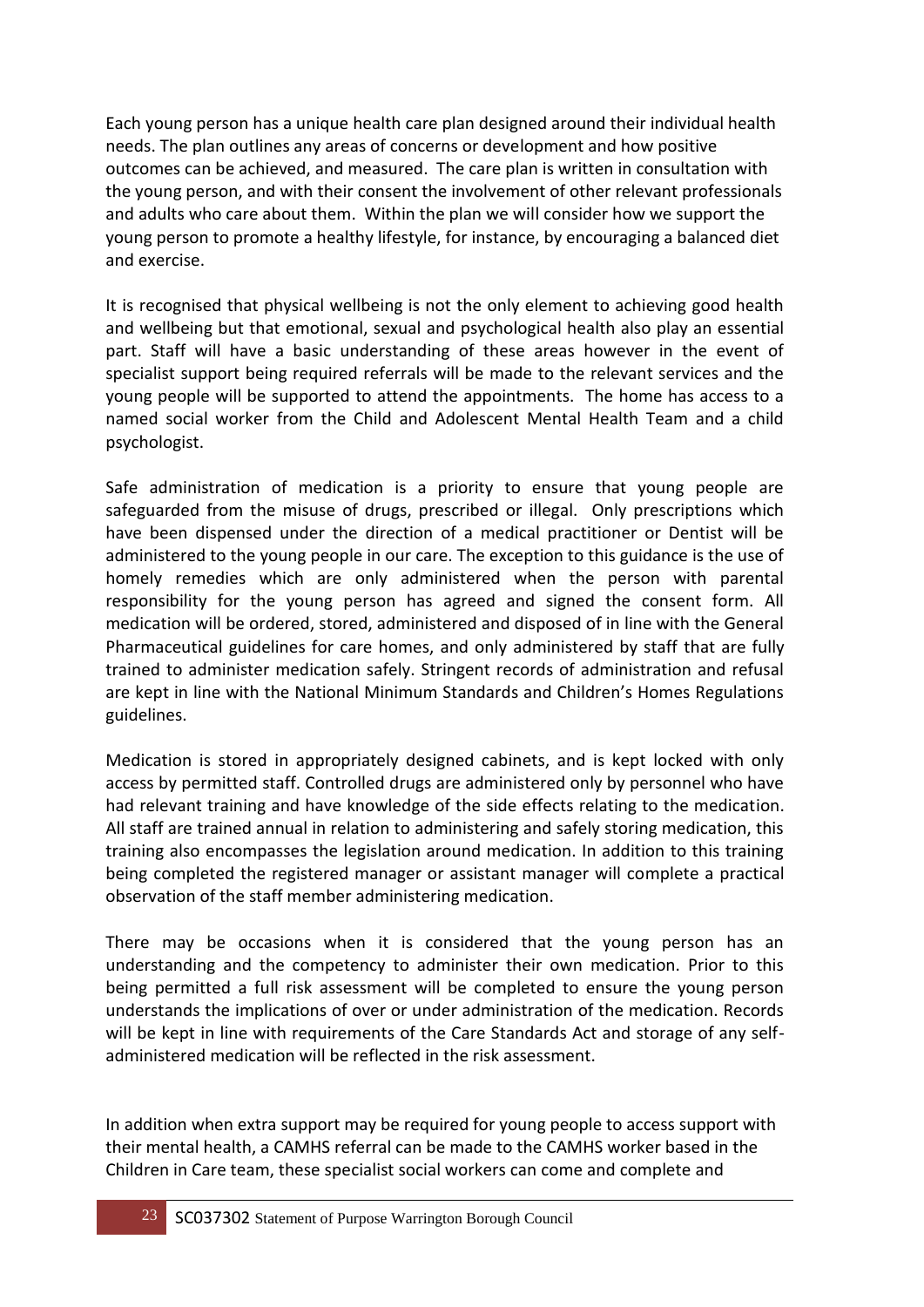Each young person has a unique health care plan designed around their individual health needs. The plan outlines any areas of concerns or development and how positive outcomes can be achieved, and measured. The care plan is written in consultation with the young person, and with their consent the involvement of other relevant professionals and adults who care about them. Within the plan we will consider how we support the young person to promote a healthy lifestyle, for instance, by encouraging a balanced diet and exercise.

It is recognised that physical wellbeing is not the only element to achieving good health and wellbeing but that emotional, sexual and psychological health also play an essential part. Staff will have a basic understanding of these areas however in the event of specialist support being required referrals will be made to the relevant services and the young people will be supported to attend the appointments. The home has access to a named social worker from the Child and Adolescent Mental Health Team and a child psychologist.

Safe administration of medication is a priority to ensure that young people are safeguarded from the misuse of drugs, prescribed or illegal. Only prescriptions which have been dispensed under the direction of a medical practitioner or Dentist will be administered to the young people in our care. The exception to this guidance is the use of homely remedies which are only administered when the person with parental responsibility for the young person has agreed and signed the consent form. All medication will be ordered, stored, administered and disposed of in line with the General Pharmaceutical guidelines for care homes, and only administered by staff that are fully trained to administer medication safely. Stringent records of administration and refusal are kept in line with the National Minimum Standards and Children's Homes Regulations guidelines.

Medication is stored in appropriately designed cabinets, and is kept locked with only access by permitted staff. Controlled drugs are administered only by personnel who have had relevant training and have knowledge of the side effects relating to the medication. All staff are trained annual in relation to administering and safely storing medication, this training also encompasses the legislation around medication. In addition to this training being completed the registered manager or assistant manager will complete a practical observation of the staff member administering medication.

There may be occasions when it is considered that the young person has an understanding and the competency to administer their own medication. Prior to this being permitted a full risk assessment will be completed to ensure the young person understands the implications of over or under administration of the medication. Records will be kept in line with requirements of the Care Standards Act and storage of any selfadministered medication will be reflected in the risk assessment.

In addition when extra support may be required for young people to access support with their mental health, a CAMHS referral can be made to the CAMHS worker based in the Children in Care team, these specialist social workers can come and complete and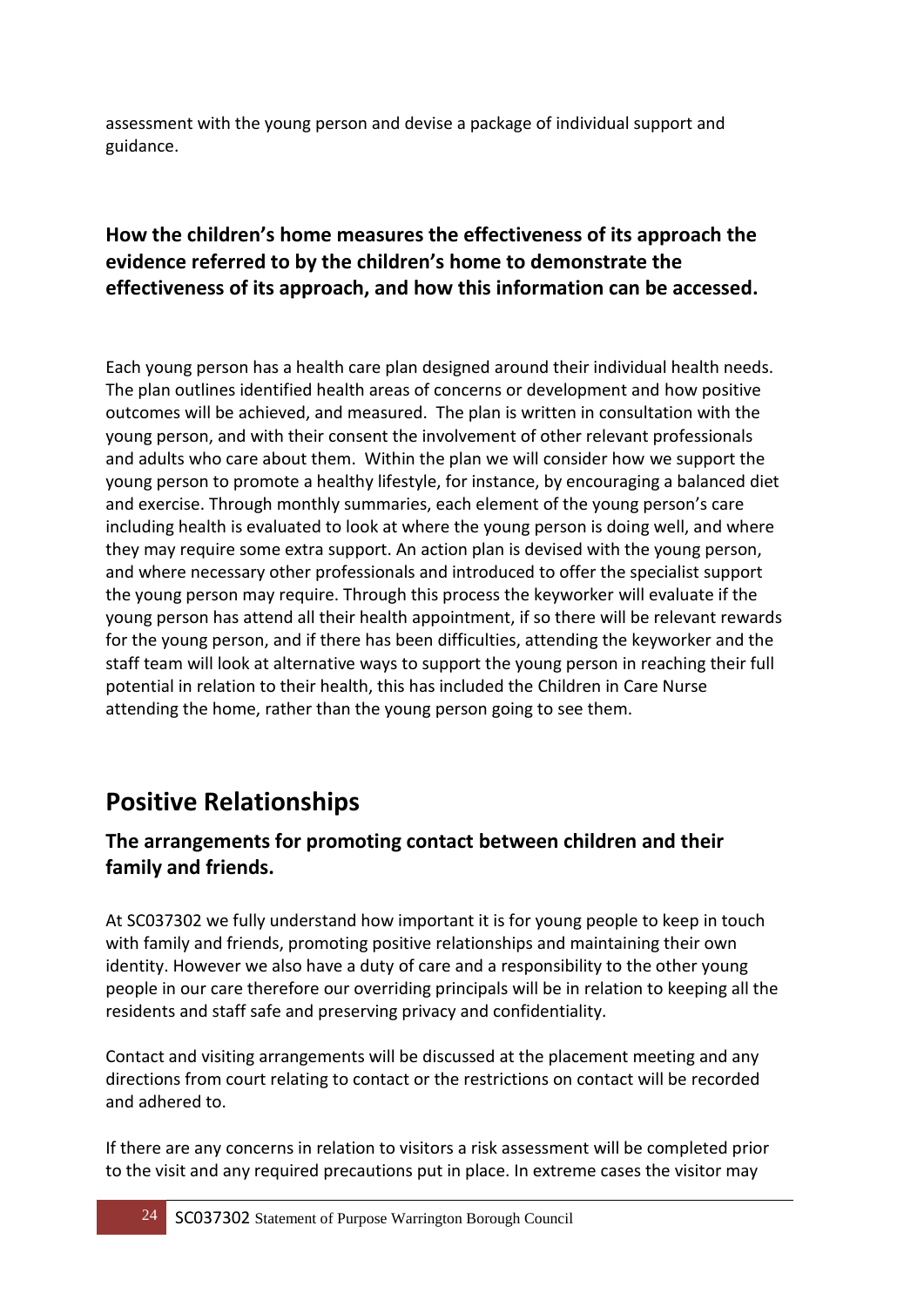assessment with the young person and devise a package of individual support and guidance.

#### **How the children's home measures the effectiveness of its approach the evidence referred to by the children's home to demonstrate the effectiveness of its approach, and how this information can be accessed.**

Each young person has a health care plan designed around their individual health needs. The plan outlines identified health areas of concerns or development and how positive outcomes will be achieved, and measured. The plan is written in consultation with the young person, and with their consent the involvement of other relevant professionals and adults who care about them. Within the plan we will consider how we support the young person to promote a healthy lifestyle, for instance, by encouraging a balanced diet and exercise. Through monthly summaries, each element of the young person's care including health is evaluated to look at where the young person is doing well, and where they may require some extra support. An action plan is devised with the young person, and where necessary other professionals and introduced to offer the specialist support the young person may require. Through this process the keyworker will evaluate if the young person has attend all their health appointment, if so there will be relevant rewards for the young person, and if there has been difficulties, attending the keyworker and the staff team will look at alternative ways to support the young person in reaching their full potential in relation to their health, this has included the Children in Care Nurse attending the home, rather than the young person going to see them.

### **Positive Relationships**

#### **The arrangements for promoting contact between children and their family and friends.**

At SC037302 we fully understand how important it is for young people to keep in touch with family and friends, promoting positive relationships and maintaining their own identity. However we also have a duty of care and a responsibility to the other young people in our care therefore our overriding principals will be in relation to keeping all the residents and staff safe and preserving privacy and confidentiality.

Contact and visiting arrangements will be discussed at the placement meeting and any directions from court relating to contact or the restrictions on contact will be recorded and adhered to.

If there are any concerns in relation to visitors a risk assessment will be completed prior to the visit and any required precautions put in place. In extreme cases the visitor may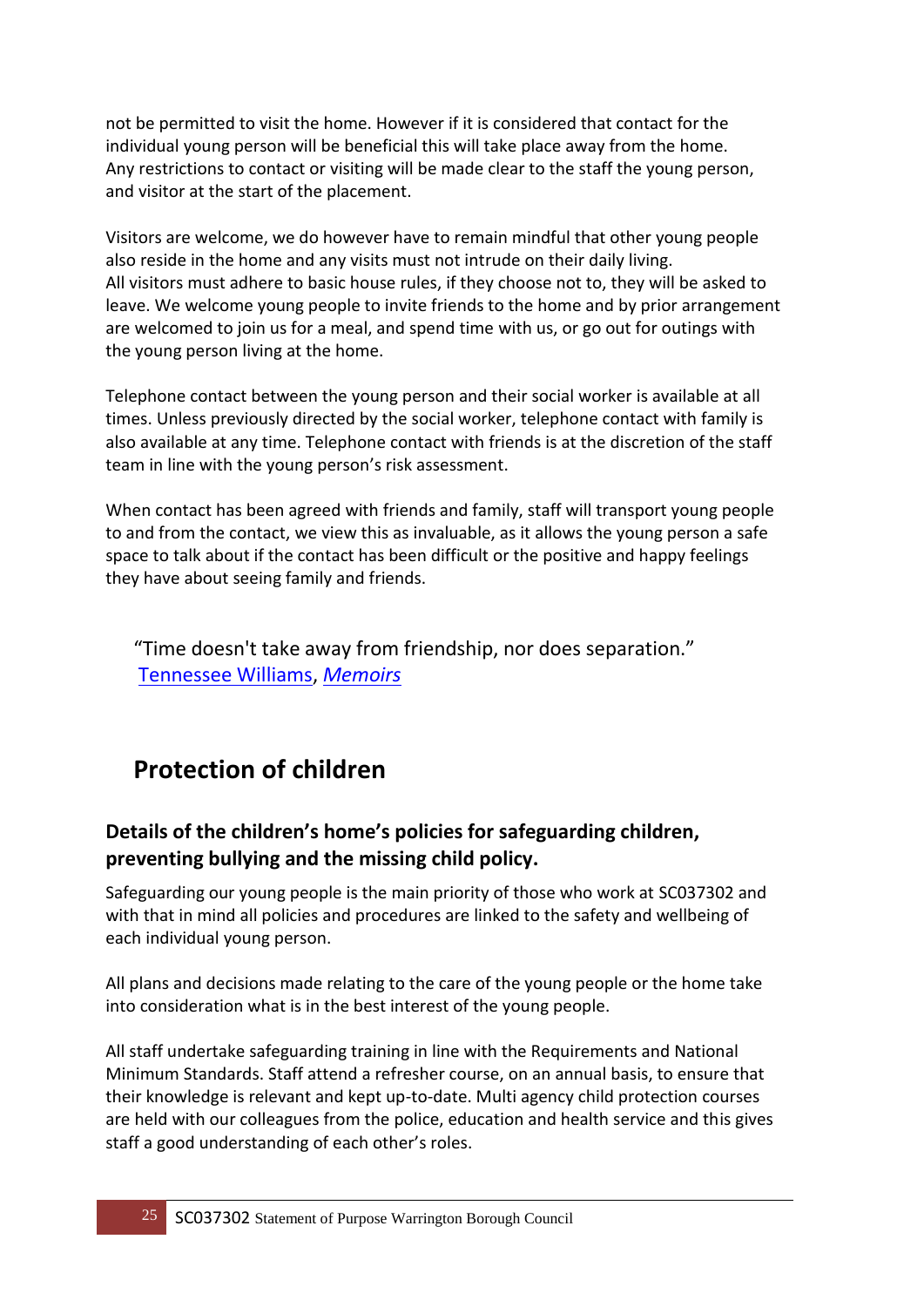not be permitted to visit the home. However if it is considered that contact for the individual young person will be beneficial this will take place away from the home. Any restrictions to contact or visiting will be made clear to the staff the young person, and visitor at the start of the placement.

Visitors are welcome, we do however have to remain mindful that other young people also reside in the home and any visits must not intrude on their daily living. All visitors must adhere to basic house rules, if they choose not to, they will be asked to leave. We welcome young people to invite friends to the home and by prior arrangement are welcomed to join us for a meal, and spend time with us, or go out for outings with the young person living at the home.

Telephone contact between the young person and their social worker is available at all times. Unless previously directed by the social worker, telephone contact with family is also available at any time. Telephone contact with friends is at the discretion of the staff team in line with the young person's risk assessment.

When contact has been agreed with friends and family, staff will transport young people to and from the contact, we view this as invaluable, as it allows the young person a safe space to talk about if the contact has been difficult or the positive and happy feelings they have about seeing family and friends.

"Time doesn't take away from friendship, nor does separation." [Tennessee Williams,](http://www.goodreads.com/author/show/7751.Tennessee_Williams) *[Memoirs](http://www.goodreads.com/work/quotes/3248676)*

### **Protection of children**

#### **Details of the children's home's policies for safeguarding children, preventing bullying and the missing child policy.**

Safeguarding our young people is the main priority of those who work at SC037302 and with that in mind all policies and procedures are linked to the safety and wellbeing of each individual young person.

All plans and decisions made relating to the care of the young people or the home take into consideration what is in the best interest of the young people.

All staff undertake safeguarding training in line with the Requirements and National Minimum Standards. Staff attend a refresher course, on an annual basis, to ensure that their knowledge is relevant and kept up-to-date. Multi agency child protection courses are held with our colleagues from the police, education and health service and this gives staff a good understanding of each other's roles.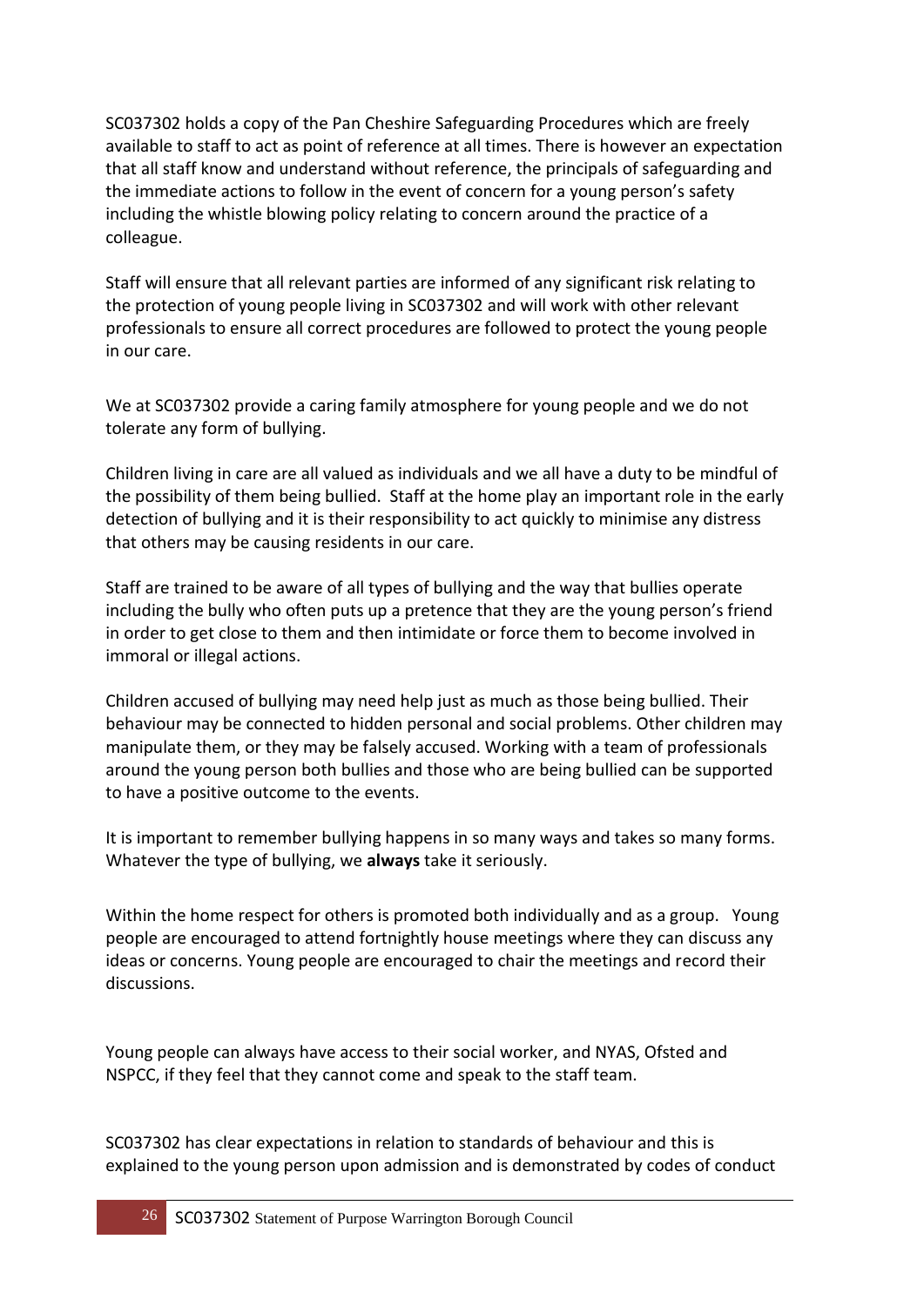SC037302 holds a copy of the Pan Cheshire Safeguarding Procedures which are freely available to staff to act as point of reference at all times. There is however an expectation that all staff know and understand without reference, the principals of safeguarding and the immediate actions to follow in the event of concern for a young person's safety including the whistle blowing policy relating to concern around the practice of a colleague.

Staff will ensure that all relevant parties are informed of any significant risk relating to the protection of young people living in SC037302 and will work with other relevant professionals to ensure all correct procedures are followed to protect the young people in our care.

We at SC037302 provide a caring family atmosphere for young people and we do not tolerate any form of bullying.

Children living in care are all valued as individuals and we all have a duty to be mindful of the possibility of them being bullied. Staff at the home play an important role in the early detection of bullying and it is their responsibility to act quickly to minimise any distress that others may be causing residents in our care.

Staff are trained to be aware of all types of bullying and the way that bullies operate including the bully who often puts up a pretence that they are the young person's friend in order to get close to them and then intimidate or force them to become involved in immoral or illegal actions.

Children accused of bullying may need help just as much as those being bullied. Their behaviour may be connected to hidden personal and social problems. Other children may manipulate them, or they may be falsely accused. Working with a team of professionals around the young person both bullies and those who are being bullied can be supported to have a positive outcome to the events.

It is important to remember bullying happens in so many ways and takes so many forms. Whatever the type of bullying, we **always** take it seriously.

Within the home respect for others is promoted both individually and as a group. Young people are encouraged to attend fortnightly house meetings where they can discuss any ideas or concerns. Young people are encouraged to chair the meetings and record their discussions.

Young people can always have access to their social worker, and NYAS, Ofsted and NSPCC, if they feel that they cannot come and speak to the staff team.

SC037302 has clear expectations in relation to standards of behaviour and this is explained to the young person upon admission and is demonstrated by codes of conduct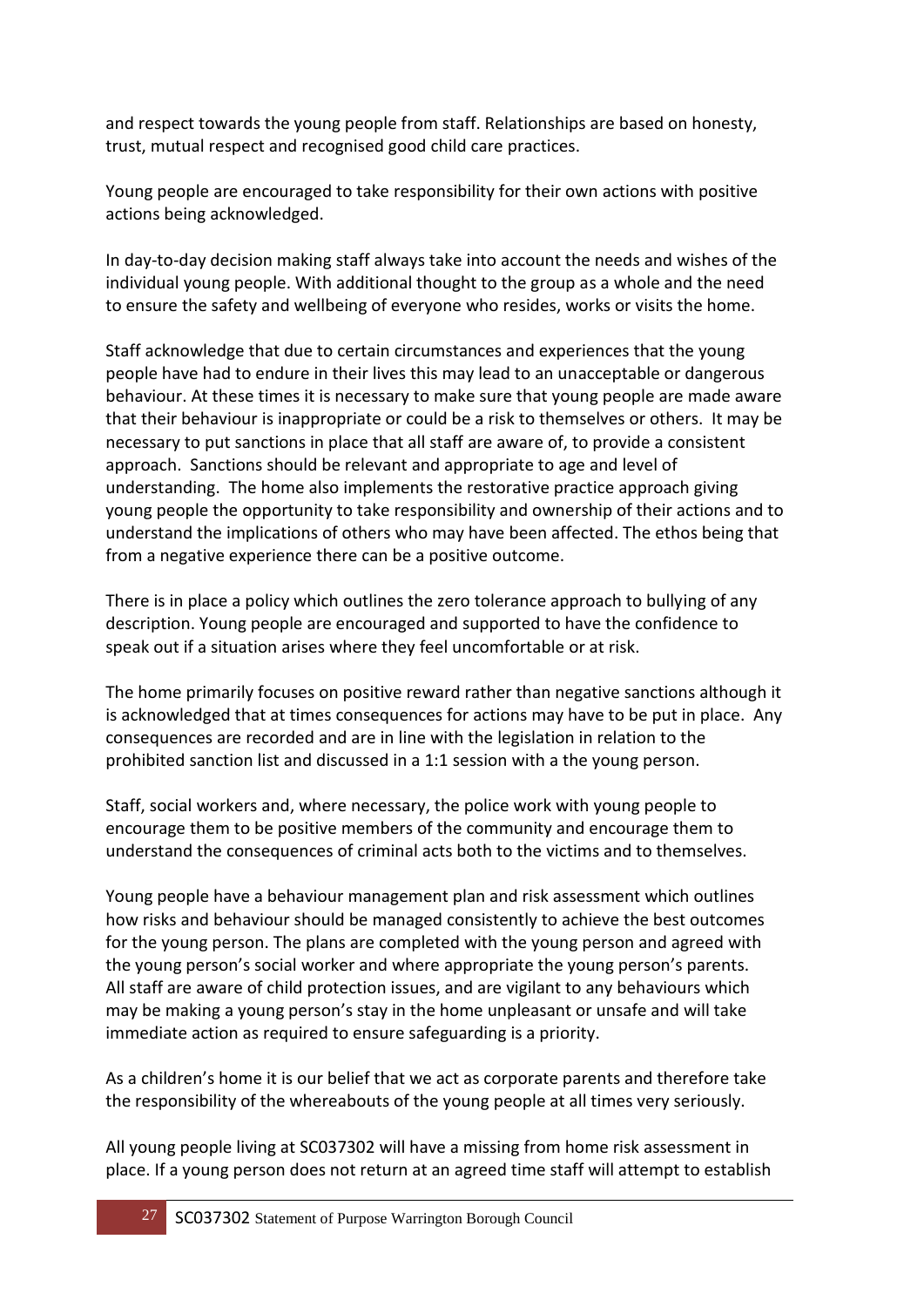and respect towards the young people from staff. Relationships are based on honesty, trust, mutual respect and recognised good child care practices.

Young people are encouraged to take responsibility for their own actions with positive actions being acknowledged.

In day-to-day decision making staff always take into account the needs and wishes of the individual young people. With additional thought to the group as a whole and the need to ensure the safety and wellbeing of everyone who resides, works or visits the home.

Staff acknowledge that due to certain circumstances and experiences that the young people have had to endure in their lives this may lead to an unacceptable or dangerous behaviour. At these times it is necessary to make sure that young people are made aware that their behaviour is inappropriate or could be a risk to themselves or others. It may be necessary to put sanctions in place that all staff are aware of, to provide a consistent approach. Sanctions should be relevant and appropriate to age and level of understanding. The home also implements the restorative practice approach giving young people the opportunity to take responsibility and ownership of their actions and to understand the implications of others who may have been affected. The ethos being that from a negative experience there can be a positive outcome.

There is in place a policy which outlines the zero tolerance approach to bullying of any description. Young people are encouraged and supported to have the confidence to speak out if a situation arises where they feel uncomfortable or at risk.

The home primarily focuses on positive reward rather than negative sanctions although it is acknowledged that at times consequences for actions may have to be put in place. Any consequences are recorded and are in line with the legislation in relation to the prohibited sanction list and discussed in a 1:1 session with a the young person.

Staff, social workers and, where necessary, the police work with young people to encourage them to be positive members of the community and encourage them to understand the consequences of criminal acts both to the victims and to themselves.

Young people have a behaviour management plan and risk assessment which outlines how risks and behaviour should be managed consistently to achieve the best outcomes for the young person. The plans are completed with the young person and agreed with the young person's social worker and where appropriate the young person's parents. All staff are aware of child protection issues, and are vigilant to any behaviours which may be making a young person's stay in the home unpleasant or unsafe and will take immediate action as required to ensure safeguarding is a priority.

As a children's home it is our belief that we act as corporate parents and therefore take the responsibility of the whereabouts of the young people at all times very seriously.

All young people living at SC037302 will have a missing from home risk assessment in place. If a young person does not return at an agreed time staff will attempt to establish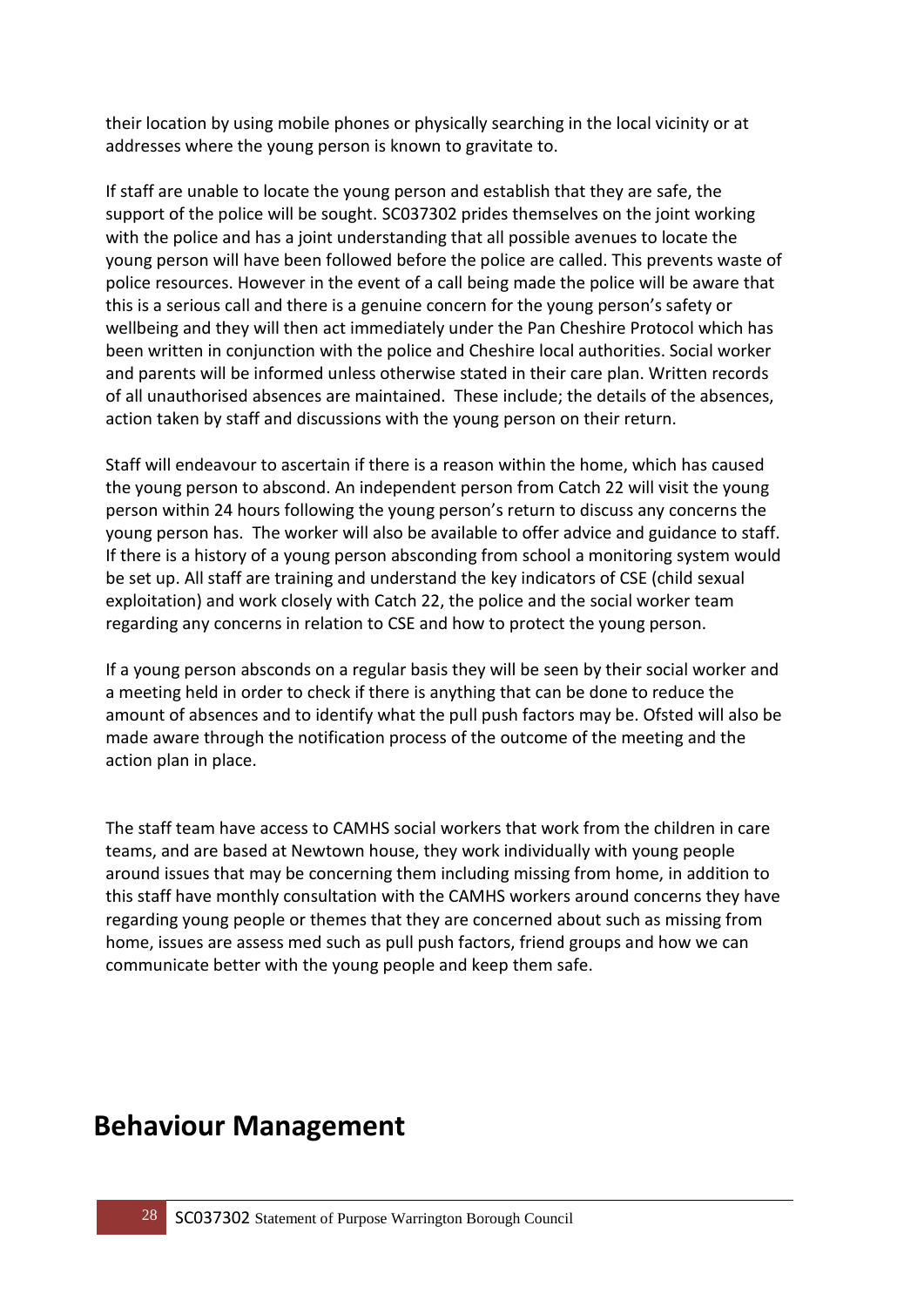their location by using mobile phones or physically searching in the local vicinity or at addresses where the young person is known to gravitate to.

If staff are unable to locate the young person and establish that they are safe, the support of the police will be sought. SC037302 prides themselves on the joint working with the police and has a joint understanding that all possible avenues to locate the young person will have been followed before the police are called. This prevents waste of police resources. However in the event of a call being made the police will be aware that this is a serious call and there is a genuine concern for the young person's safety or wellbeing and they will then act immediately under the Pan Cheshire Protocol which has been written in conjunction with the police and Cheshire local authorities. Social worker and parents will be informed unless otherwise stated in their care plan. Written records of all unauthorised absences are maintained. These include; the details of the absences, action taken by staff and discussions with the young person on their return.

Staff will endeavour to ascertain if there is a reason within the home, which has caused the young person to abscond. An independent person from Catch 22 will visit the young person within 24 hours following the young person's return to discuss any concerns the young person has. The worker will also be available to offer advice and guidance to staff. If there is a history of a young person absconding from school a monitoring system would be set up. All staff are training and understand the key indicators of CSE (child sexual exploitation) and work closely with Catch 22, the police and the social worker team regarding any concerns in relation to CSE and how to protect the young person.

If a young person absconds on a regular basis they will be seen by their social worker and a meeting held in order to check if there is anything that can be done to reduce the amount of absences and to identify what the pull push factors may be. Ofsted will also be made aware through the notification process of the outcome of the meeting and the action plan in place.

The staff team have access to CAMHS social workers that work from the children in care teams, and are based at Newtown house, they work individually with young people around issues that may be concerning them including missing from home, in addition to this staff have monthly consultation with the CAMHS workers around concerns they have regarding young people or themes that they are concerned about such as missing from home, issues are assess med such as pull push factors, friend groups and how we can communicate better with the young people and keep them safe.

### **Behaviour Management**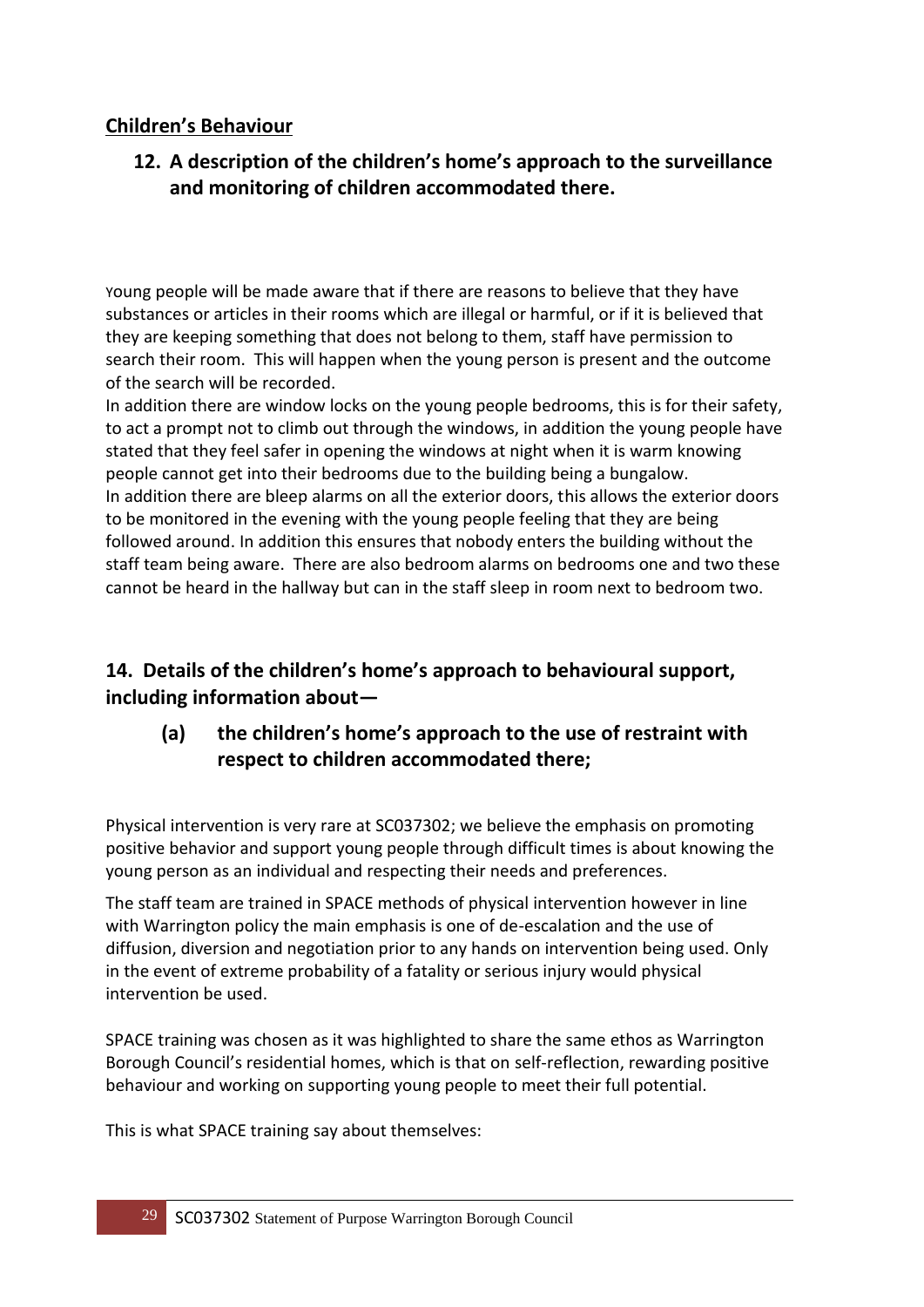#### **Children's Behaviour**

#### **12. A description of the children's home's approach to the surveillance and monitoring of children accommodated there.**

Young people will be made aware that if there are reasons to believe that they have substances or articles in their rooms which are illegal or harmful, or if it is believed that they are keeping something that does not belong to them, staff have permission to search their room. This will happen when the young person is present and the outcome of the search will be recorded.

In addition there are window locks on the young people bedrooms, this is for their safety, to act a prompt not to climb out through the windows, in addition the young people have stated that they feel safer in opening the windows at night when it is warm knowing people cannot get into their bedrooms due to the building being a bungalow. In addition there are bleep alarms on all the exterior doors, this allows the exterior doors to be monitored in the evening with the young people feeling that they are being followed around. In addition this ensures that nobody enters the building without the staff team being aware. There are also bedroom alarms on bedrooms one and two these cannot be heard in the hallway but can in the staff sleep in room next to bedroom two.

#### **14. Details of the children's home's approach to behavioural support, including information about—**

#### **(a) the children's home's approach to the use of restraint with respect to children accommodated there;**

Physical intervention is very rare at SC037302; we believe the emphasis on promoting positive behavior and support young people through difficult times is about knowing the young person as an individual and respecting their needs and preferences.

The staff team are trained in SPACE methods of physical intervention however in line with Warrington policy the main emphasis is one of de-escalation and the use of diffusion, diversion and negotiation prior to any hands on intervention being used. Only in the event of extreme probability of a fatality or serious injury would physical intervention be used.

SPACE training was chosen as it was highlighted to share the same ethos as Warrington Borough Council's residential homes, which is that on self-reflection, rewarding positive behaviour and working on supporting young people to meet their full potential.

This is what SPACE training say about themselves: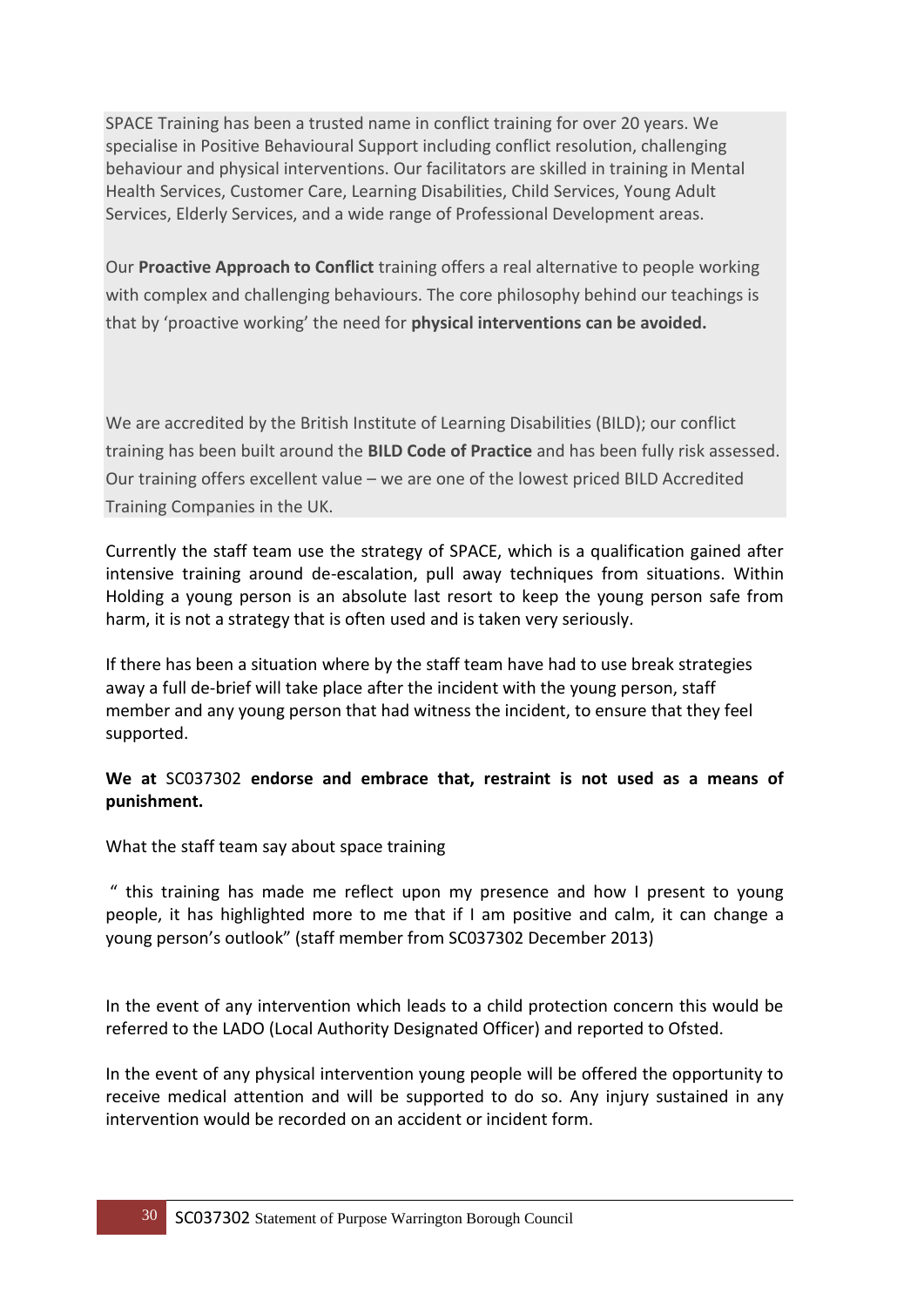SPACE Training has been a trusted name in conflict training for over 20 years. We specialise in Positive Behavioural Support including conflict resolution, challenging behaviour and physical interventions. Our facilitators are skilled in training in Mental Health Services, Customer Care, Learning Disabilities, Child Services, Young Adult Services, Elderly Services, and a wide range of Professional Development areas.

Our **Proactive Approach to Conflict** training offers a real alternative to people working with complex and challenging behaviours. The core philosophy behind our teachings is that by 'proactive working' the need for **physical interventions can be avoided.**

We are accredited by the British Institute of Learning Disabilities (BILD); our conflict training has been built around the **BILD Code of Practice** and has been fully risk assessed. Our training offers excellent value – we are one of the lowest priced BILD Accredited Training Companies in the UK.

Currently the staff team use the strategy of SPACE, which is a qualification gained after intensive training around de-escalation, pull away techniques from situations. Within Holding a young person is an absolute last resort to keep the young person safe from harm, it is not a strategy that is often used and is taken very seriously.

If there has been a situation where by the staff team have had to use break strategies away a full de-brief will take place after the incident with the young person, staff member and any young person that had witness the incident, to ensure that they feel supported.

#### **We at** SC037302 **endorse and embrace that, restraint is not used as a means of punishment.**

What the staff team say about space training

" this training has made me reflect upon my presence and how I present to young people, it has highlighted more to me that if I am positive and calm, it can change a young person's outlook" (staff member from SC037302 December 2013)

In the event of any intervention which leads to a child protection concern this would be referred to the LADO (Local Authority Designated Officer) and reported to Ofsted.

In the event of any physical intervention young people will be offered the opportunity to receive medical attention and will be supported to do so. Any injury sustained in any intervention would be recorded on an accident or incident form.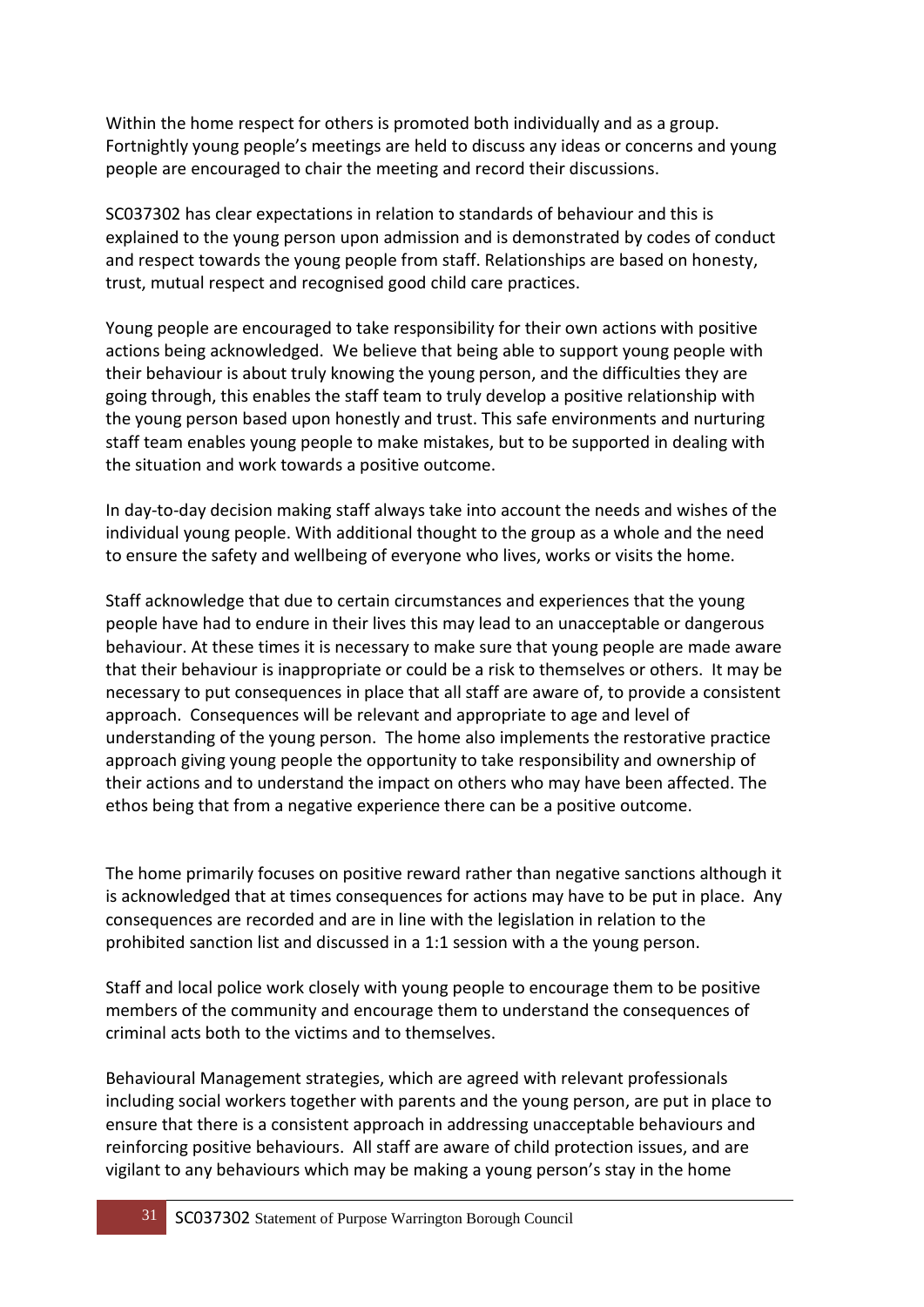Within the home respect for others is promoted both individually and as a group. Fortnightly young people's meetings are held to discuss any ideas or concerns and young people are encouraged to chair the meeting and record their discussions.

SC037302 has clear expectations in relation to standards of behaviour and this is explained to the young person upon admission and is demonstrated by codes of conduct and respect towards the young people from staff. Relationships are based on honesty, trust, mutual respect and recognised good child care practices.

Young people are encouraged to take responsibility for their own actions with positive actions being acknowledged. We believe that being able to support young people with their behaviour is about truly knowing the young person, and the difficulties they are going through, this enables the staff team to truly develop a positive relationship with the young person based upon honestly and trust. This safe environments and nurturing staff team enables young people to make mistakes, but to be supported in dealing with the situation and work towards a positive outcome.

In day-to-day decision making staff always take into account the needs and wishes of the individual young people. With additional thought to the group as a whole and the need to ensure the safety and wellbeing of everyone who lives, works or visits the home.

Staff acknowledge that due to certain circumstances and experiences that the young people have had to endure in their lives this may lead to an unacceptable or dangerous behaviour. At these times it is necessary to make sure that young people are made aware that their behaviour is inappropriate or could be a risk to themselves or others. It may be necessary to put consequences in place that all staff are aware of, to provide a consistent approach. Consequences will be relevant and appropriate to age and level of understanding of the young person. The home also implements the restorative practice approach giving young people the opportunity to take responsibility and ownership of their actions and to understand the impact on others who may have been affected. The ethos being that from a negative experience there can be a positive outcome.

The home primarily focuses on positive reward rather than negative sanctions although it is acknowledged that at times consequences for actions may have to be put in place. Any consequences are recorded and are in line with the legislation in relation to the prohibited sanction list and discussed in a 1:1 session with a the young person.

Staff and local police work closely with young people to encourage them to be positive members of the community and encourage them to understand the consequences of criminal acts both to the victims and to themselves.

Behavioural Management strategies, which are agreed with relevant professionals including social workers together with parents and the young person, are put in place to ensure that there is a consistent approach in addressing unacceptable behaviours and reinforcing positive behaviours. All staff are aware of child protection issues, and are vigilant to any behaviours which may be making a young person's stay in the home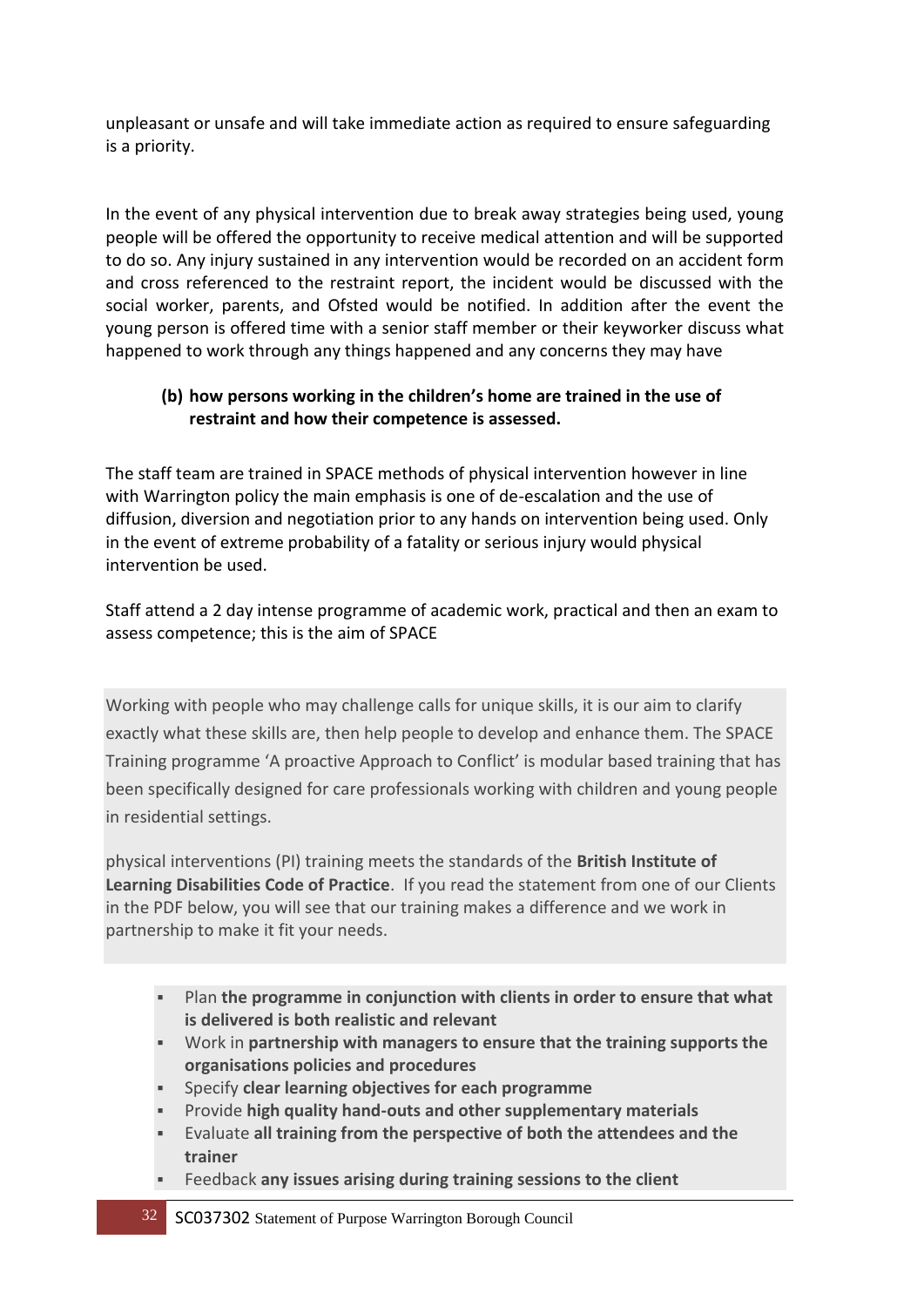unpleasant or unsafe and will take immediate action as required to ensure safeguarding is a priority.

In the event of any physical intervention due to break away strategies being used, young people will be offered the opportunity to receive medical attention and will be supported to do so. Any injury sustained in any intervention would be recorded on an accident form and cross referenced to the restraint report, the incident would be discussed with the social worker, parents, and Ofsted would be notified. In addition after the event the young person is offered time with a senior staff member or their keyworker discuss what happened to work through any things happened and any concerns they may have

#### **(b) how persons working in the children's home are trained in the use of restraint and how their competence is assessed.**

The staff team are trained in SPACE methods of physical intervention however in line with Warrington policy the main emphasis is one of de-escalation and the use of diffusion, diversion and negotiation prior to any hands on intervention being used. Only in the event of extreme probability of a fatality or serious injury would physical intervention be used.

Staff attend a 2 day intense programme of academic work, practical and then an exam to assess competence; this is the aim of SPACE

Working with people who may challenge calls for unique skills, it is our aim to clarify exactly what these skills are, then help people to develop and enhance them. The SPACE Training programme 'A proactive Approach to Conflict' is modular based training that has been specifically designed for care professionals working with children and young people in residential settings.

physical interventions (PI) training meets the standards of the **British Institute of Learning Disabilities Code of Practice**. If you read the statement from one of our Clients in the PDF below, you will see that our training makes a difference and we work in partnership to make it fit your needs.

- Plan **the programme in conjunction with clients in order to ensure that what is delivered is both realistic and relevant**
- Work in **partnership with managers to ensure that the training supports the organisations policies and procedures**
- Specify **clear learning objectives for each programme**
- Provide **high quality hand-outs and other supplementary materials**
- Evaluate **all training from the perspective of both the attendees and the trainer**
- Feedback **any issues arising during training sessions to the client**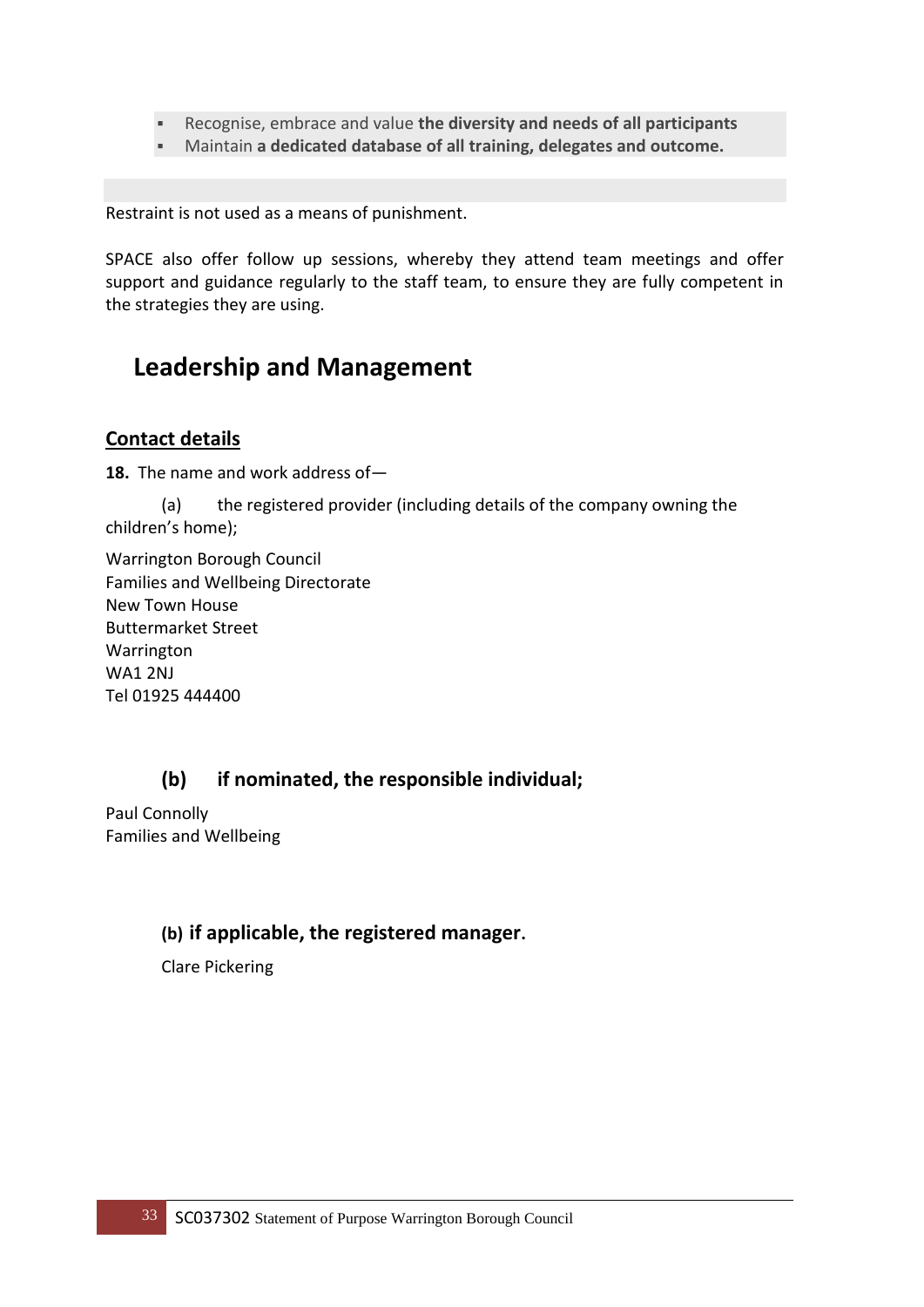- Recognise, embrace and value **the diversity and needs of all participants**
- Maintain **a dedicated database of all training, delegates and outcome.**

Restraint is not used as a means of punishment.

SPACE also offer follow up sessions, whereby they attend team meetings and offer support and guidance regularly to the staff team, to ensure they are fully competent in the strategies they are using.

### **Leadership and Management**

#### **Contact details**

**18.** The name and work address of—

(a) the registered provider (including details of the company owning the children's home);

Warrington Borough Council Families and Wellbeing Directorate New Town House Buttermarket Street Warrington WA1 2NJ Tel 01925 444400

#### **(b) if nominated, the responsible individual;**

Paul Connolly Families and Wellbeing

#### **(b) if applicable, the registered manager.**

Clare Pickering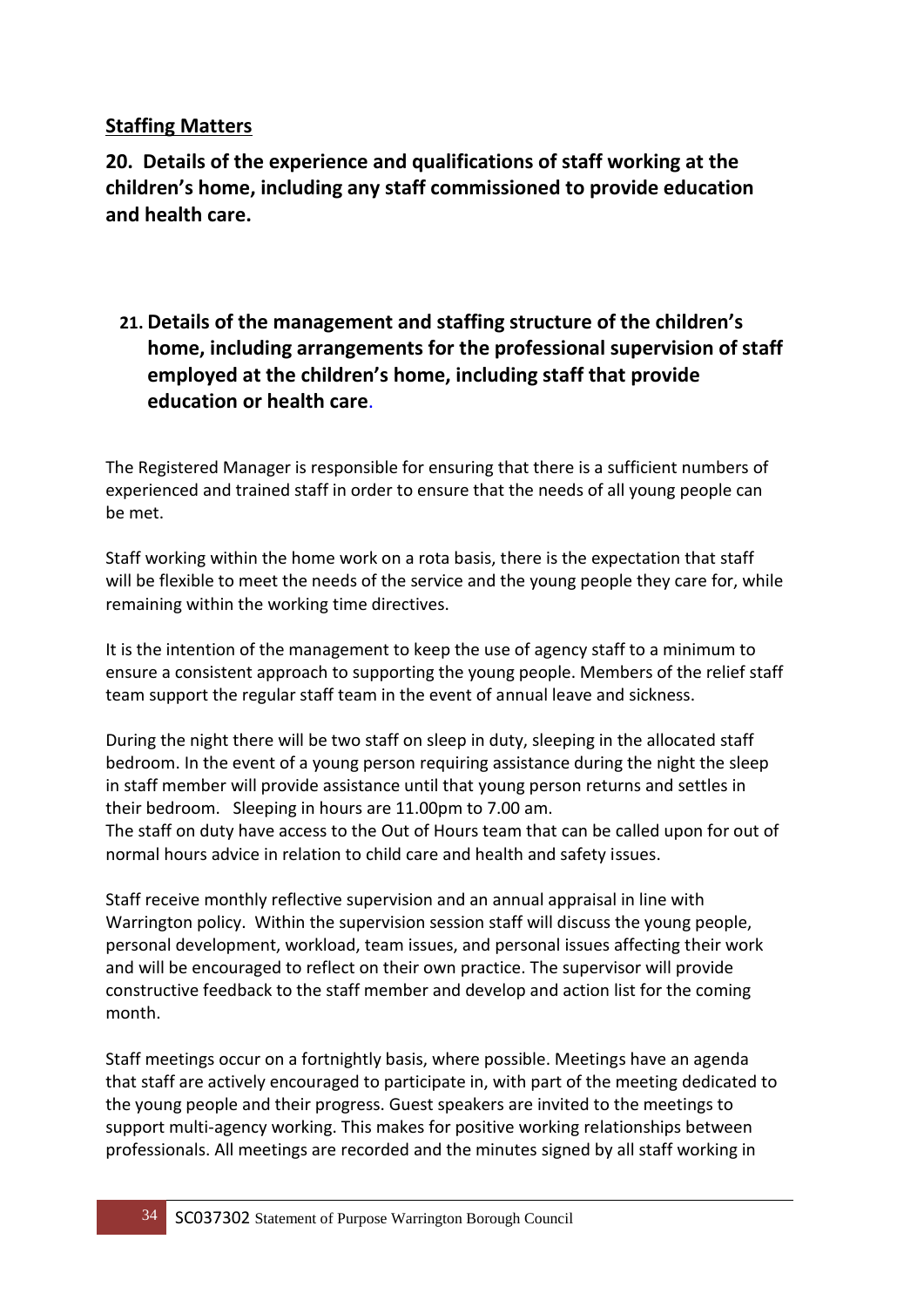#### **Staffing Matters**

**20. Details of the experience and qualifications of staff working at the children's home, including any staff commissioned to provide education and health care.** 

**21. Details of the management and staffing structure of the children's home, including arrangements for the professional supervision of staff employed at the children's home, including staff that provide education or health care**.

The Registered Manager is responsible for ensuring that there is a sufficient numbers of experienced and trained staff in order to ensure that the needs of all young people can be met.

Staff working within the home work on a rota basis, there is the expectation that staff will be flexible to meet the needs of the service and the young people they care for, while remaining within the working time directives.

It is the intention of the management to keep the use of agency staff to a minimum to ensure a consistent approach to supporting the young people. Members of the relief staff team support the regular staff team in the event of annual leave and sickness.

During the night there will be two staff on sleep in duty, sleeping in the allocated staff bedroom. In the event of a young person requiring assistance during the night the sleep in staff member will provide assistance until that young person returns and settles in their bedroom. Sleeping in hours are 11.00pm to 7.00 am.

The staff on duty have access to the Out of Hours team that can be called upon for out of normal hours advice in relation to child care and health and safety issues.

Staff receive monthly reflective supervision and an annual appraisal in line with Warrington policy. Within the supervision session staff will discuss the young people, personal development, workload, team issues, and personal issues affecting their work and will be encouraged to reflect on their own practice. The supervisor will provide constructive feedback to the staff member and develop and action list for the coming month.

Staff meetings occur on a fortnightly basis, where possible. Meetings have an agenda that staff are actively encouraged to participate in, with part of the meeting dedicated to the young people and their progress. Guest speakers are invited to the meetings to support multi-agency working. This makes for positive working relationships between professionals. All meetings are recorded and the minutes signed by all staff working in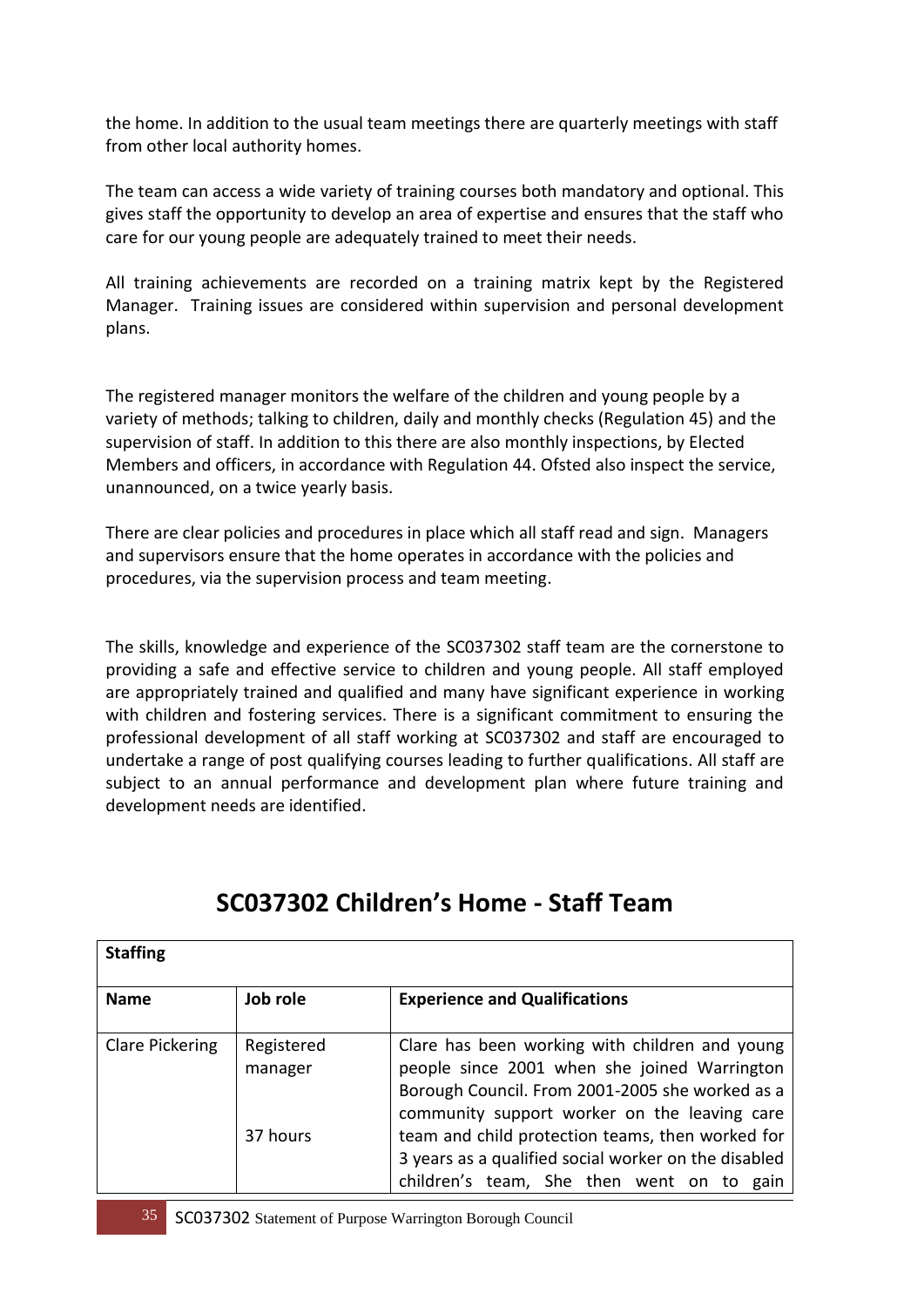the home. In addition to the usual team meetings there are quarterly meetings with staff from other local authority homes.

The team can access a wide variety of training courses both mandatory and optional. This gives staff the opportunity to develop an area of expertise and ensures that the staff who care for our young people are adequately trained to meet their needs.

All training achievements are recorded on a training matrix kept by the Registered Manager. Training issues are considered within supervision and personal development plans.

The registered manager monitors the welfare of the children and young people by a variety of methods; talking to children, daily and monthly checks (Regulation 45) and the supervision of staff. In addition to this there are also monthly inspections, by Elected Members and officers, in accordance with Regulation 44. Ofsted also inspect the service, unannounced, on a twice yearly basis.

There are clear policies and procedures in place which all staff read and sign. Managers and supervisors ensure that the home operates in accordance with the policies and procedures, via the supervision process and team meeting.

The skills, knowledge and experience of the SC037302 staff team are the cornerstone to providing a safe and effective service to children and young people. All staff employed are appropriately trained and qualified and many have significant experience in working with children and fostering services. There is a significant commitment to ensuring the professional development of all staff working at SC037302 and staff are encouraged to undertake a range of post qualifying courses leading to further qualifications. All staff are subject to an annual performance and development plan where future training and development needs are identified.

| <b>Staffing</b>        |                       |                                                                                                                                                                                                   |  |
|------------------------|-----------------------|---------------------------------------------------------------------------------------------------------------------------------------------------------------------------------------------------|--|
| <b>Name</b>            | Job role              | <b>Experience and Qualifications</b>                                                                                                                                                              |  |
| <b>Clare Pickering</b> | Registered<br>manager | Clare has been working with children and young<br>people since 2001 when she joined Warrington<br>Borough Council. From 2001-2005 she worked as a<br>community support worker on the leaving care |  |
|                        | 37 hours              | team and child protection teams, then worked for<br>3 years as a qualified social worker on the disabled<br>children's team, She then went on to gain                                             |  |

### **SC037302 Children's Home - Staff Team**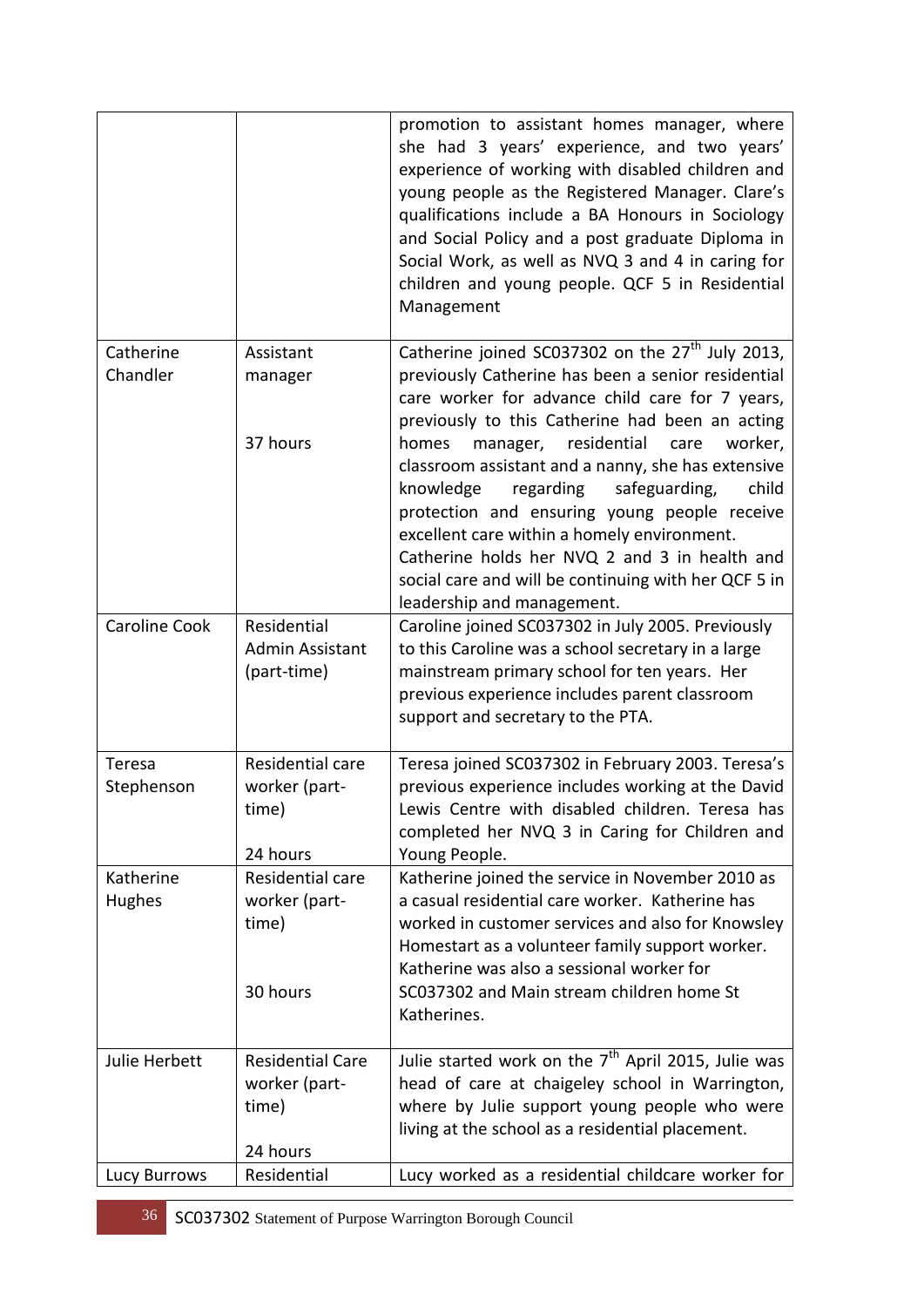|                       |                                                               | promotion to assistant homes manager, where<br>she had 3 years' experience, and two years'<br>experience of working with disabled children and<br>young people as the Registered Manager. Clare's<br>qualifications include a BA Honours in Sociology<br>and Social Policy and a post graduate Diploma in<br>Social Work, as well as NVQ 3 and 4 in caring for<br>children and young people. QCF 5 in Residential<br>Management                     |
|-----------------------|---------------------------------------------------------------|-----------------------------------------------------------------------------------------------------------------------------------------------------------------------------------------------------------------------------------------------------------------------------------------------------------------------------------------------------------------------------------------------------------------------------------------------------|
| Catherine<br>Chandler | Assistant<br>manager                                          | Catherine joined SC037302 on the 27 <sup>th</sup> July 2013,<br>previously Catherine has been a senior residential<br>care worker for advance child care for 7 years,                                                                                                                                                                                                                                                                               |
|                       | 37 hours                                                      | previously to this Catherine had been an acting<br>manager, residential<br>worker,<br>homes<br>care<br>classroom assistant and a nanny, she has extensive<br>knowledge<br>safeguarding,<br>child<br>regarding<br>protection and ensuring young people receive<br>excellent care within a homely environment.<br>Catherine holds her NVQ 2 and 3 in health and<br>social care and will be continuing with her QCF 5 in<br>leadership and management. |
| <b>Caroline Cook</b>  | Residential<br>Admin Assistant<br>(part-time)                 | Caroline joined SC037302 in July 2005. Previously<br>to this Caroline was a school secretary in a large<br>mainstream primary school for ten years. Her<br>previous experience includes parent classroom<br>support and secretary to the PTA.                                                                                                                                                                                                       |
| Teresa<br>Stephenson  | Residential care<br>worker (part-<br>time)<br>24 hours        | Teresa joined SC037302 in February 2003. Teresa's<br>previous experience includes working at the David<br>Lewis Centre with disabled children. Teresa has<br>completed her NVQ 3 in Caring for Children and<br>Young People.                                                                                                                                                                                                                        |
| Katherine<br>Hughes   | Residential care<br>worker (part-<br>time)<br>30 hours        | Katherine joined the service in November 2010 as<br>a casual residential care worker. Katherine has<br>worked in customer services and also for Knowsley<br>Homestart as a volunteer family support worker.<br>Katherine was also a sessional worker for<br>SC037302 and Main stream children home St<br>Katherines.                                                                                                                                |
| Julie Herbett         | <b>Residential Care</b><br>worker (part-<br>time)<br>24 hours | Julie started work on the 7 <sup>th</sup> April 2015, Julie was<br>head of care at chaigeley school in Warrington,<br>where by Julie support young people who were<br>living at the school as a residential placement.                                                                                                                                                                                                                              |
| Lucy Burrows          | Residential                                                   | Lucy worked as a residential childcare worker for                                                                                                                                                                                                                                                                                                                                                                                                   |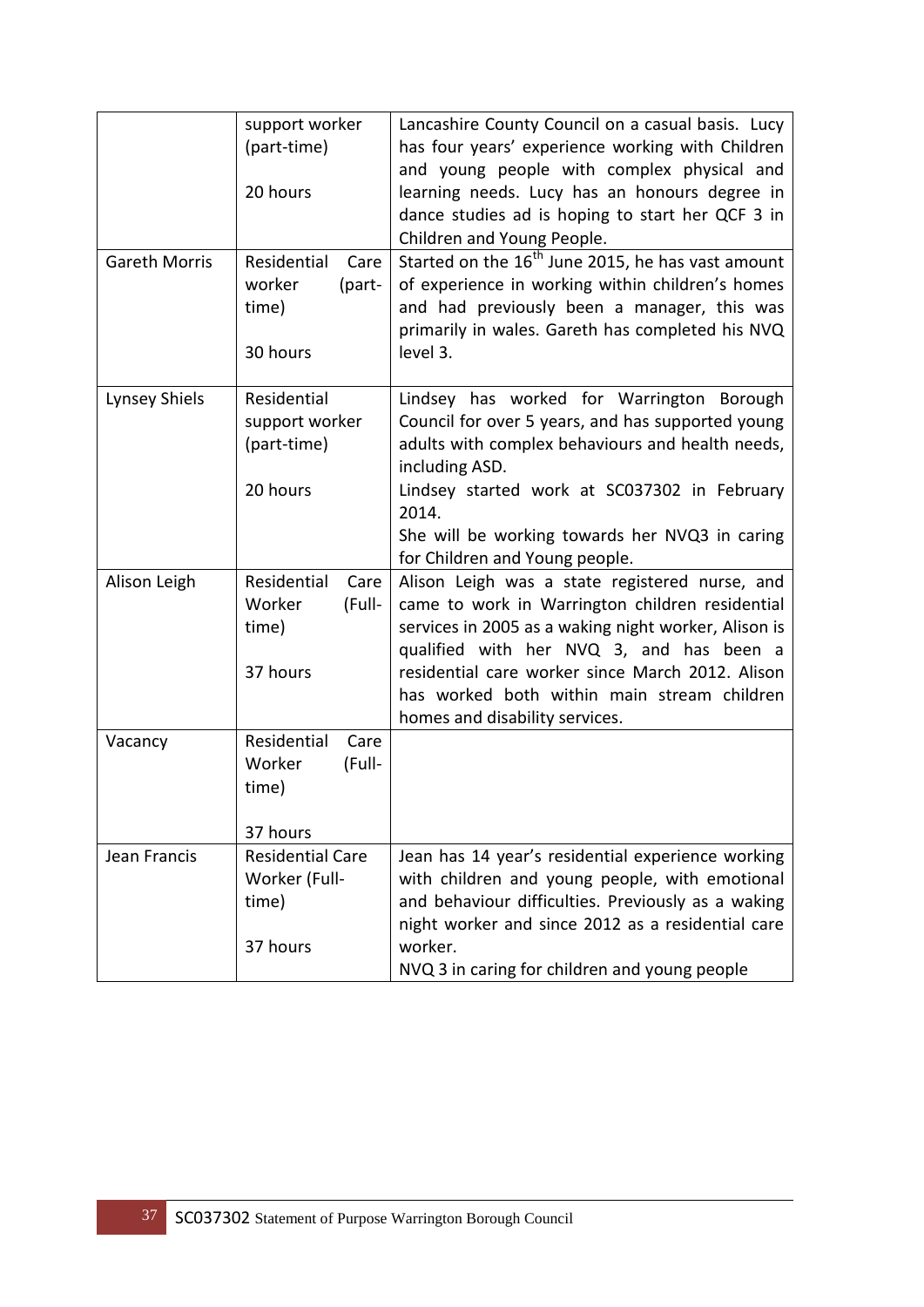|                      | support worker<br>(part-time)<br>20 hours                     | Lancashire County Council on a casual basis. Lucy<br>has four years' experience working with Children<br>and young people with complex physical and<br>learning needs. Lucy has an honours degree in<br>dance studies ad is hoping to start her QCF 3 in                                                                                   |
|----------------------|---------------------------------------------------------------|--------------------------------------------------------------------------------------------------------------------------------------------------------------------------------------------------------------------------------------------------------------------------------------------------------------------------------------------|
| <b>Gareth Morris</b> | Residential<br>Care<br>worker<br>(part-<br>time)<br>30 hours  | Children and Young People.<br>Started on the 16 <sup>th</sup> June 2015, he has vast amount<br>of experience in working within children's homes<br>and had previously been a manager, this was<br>primarily in wales. Gareth has completed his NVQ<br>level 3.                                                                             |
| <b>Lynsey Shiels</b> | Residential<br>support worker<br>(part-time)<br>20 hours      | Lindsey has worked for Warrington Borough<br>Council for over 5 years, and has supported young<br>adults with complex behaviours and health needs,<br>including ASD.<br>Lindsey started work at SC037302 in February<br>2014.<br>She will be working towards her NVQ3 in caring<br>for Children and Young people.                          |
| Alison Leigh         | Residential<br>Care<br>Worker<br>(Full-<br>time)<br>37 hours  | Alison Leigh was a state registered nurse, and<br>came to work in Warrington children residential<br>services in 2005 as a waking night worker, Alison is<br>qualified with her NVQ 3, and has been a<br>residential care worker since March 2012. Alison<br>has worked both within main stream children<br>homes and disability services. |
| Vacancy              | Residential<br>Care<br>Worker<br>(Full-<br>time)<br>37 hours  |                                                                                                                                                                                                                                                                                                                                            |
| Jean Francis         | <b>Residential Care</b><br>Worker (Full-<br>time)<br>37 hours | Jean has 14 year's residential experience working<br>with children and young people, with emotional<br>and behaviour difficulties. Previously as a waking<br>night worker and since 2012 as a residential care<br>worker.<br>NVQ 3 in caring for children and young people                                                                 |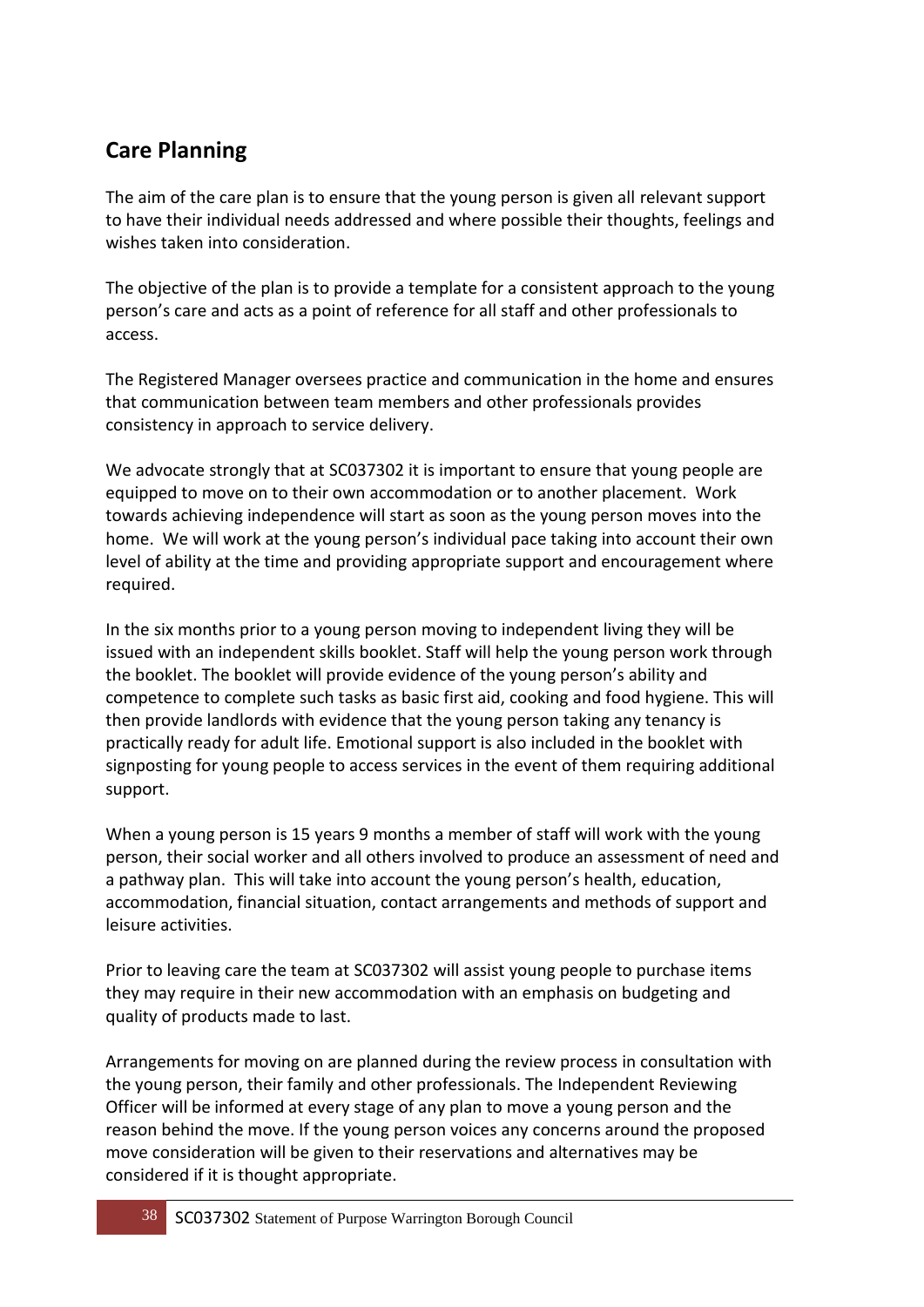### **Care Planning**

The aim of the care plan is to ensure that the young person is given all relevant support to have their individual needs addressed and where possible their thoughts, feelings and wishes taken into consideration.

The objective of the plan is to provide a template for a consistent approach to the young person's care and acts as a point of reference for all staff and other professionals to access.

The Registered Manager oversees practice and communication in the home and ensures that communication between team members and other professionals provides consistency in approach to service delivery.

We advocate strongly that at SC037302 it is important to ensure that young people are equipped to move on to their own accommodation or to another placement. Work towards achieving independence will start as soon as the young person moves into the home. We will work at the young person's individual pace taking into account their own level of ability at the time and providing appropriate support and encouragement where required.

In the six months prior to a young person moving to independent living they will be issued with an independent skills booklet. Staff will help the young person work through the booklet. The booklet will provide evidence of the young person's ability and competence to complete such tasks as basic first aid, cooking and food hygiene. This will then provide landlords with evidence that the young person taking any tenancy is practically ready for adult life. Emotional support is also included in the booklet with signposting for young people to access services in the event of them requiring additional support.

When a young person is 15 years 9 months a member of staff will work with the young person, their social worker and all others involved to produce an assessment of need and a pathway plan. This will take into account the young person's health, education, accommodation, financial situation, contact arrangements and methods of support and leisure activities.

Prior to leaving care the team at SC037302 will assist young people to purchase items they may require in their new accommodation with an emphasis on budgeting and quality of products made to last.

Arrangements for moving on are planned during the review process in consultation with the young person, their family and other professionals. The Independent Reviewing Officer will be informed at every stage of any plan to move a young person and the reason behind the move. If the young person voices any concerns around the proposed move consideration will be given to their reservations and alternatives may be considered if it is thought appropriate.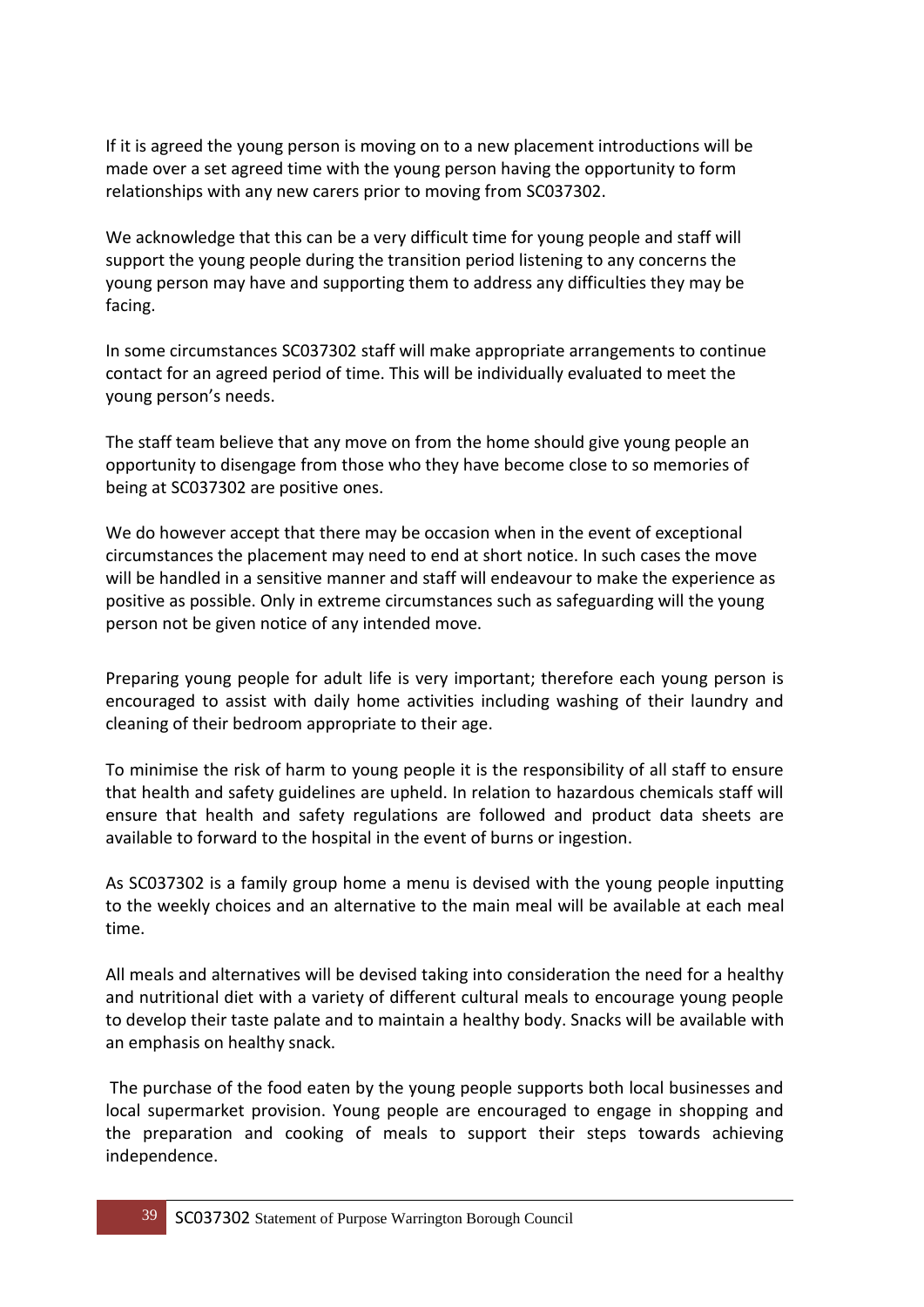If it is agreed the young person is moving on to a new placement introductions will be made over a set agreed time with the young person having the opportunity to form relationships with any new carers prior to moving from SC037302.

We acknowledge that this can be a very difficult time for young people and staff will support the young people during the transition period listening to any concerns the young person may have and supporting them to address any difficulties they may be facing.

In some circumstances SC037302 staff will make appropriate arrangements to continue contact for an agreed period of time. This will be individually evaluated to meet the young person's needs.

The staff team believe that any move on from the home should give young people an opportunity to disengage from those who they have become close to so memories of being at SC037302 are positive ones.

We do however accept that there may be occasion when in the event of exceptional circumstances the placement may need to end at short notice. In such cases the move will be handled in a sensitive manner and staff will endeavour to make the experience as positive as possible. Only in extreme circumstances such as safeguarding will the young person not be given notice of any intended move.

Preparing young people for adult life is very important; therefore each young person is encouraged to assist with daily home activities including washing of their laundry and cleaning of their bedroom appropriate to their age.

To minimise the risk of harm to young people it is the responsibility of all staff to ensure that health and safety guidelines are upheld. In relation to hazardous chemicals staff will ensure that health and safety regulations are followed and product data sheets are available to forward to the hospital in the event of burns or ingestion.

As SC037302 is a family group home a menu is devised with the young people inputting to the weekly choices and an alternative to the main meal will be available at each meal time.

All meals and alternatives will be devised taking into consideration the need for a healthy and nutritional diet with a variety of different cultural meals to encourage young people to develop their taste palate and to maintain a healthy body. Snacks will be available with an emphasis on healthy snack.

The purchase of the food eaten by the young people supports both local businesses and local supermarket provision. Young people are encouraged to engage in shopping and the preparation and cooking of meals to support their steps towards achieving independence.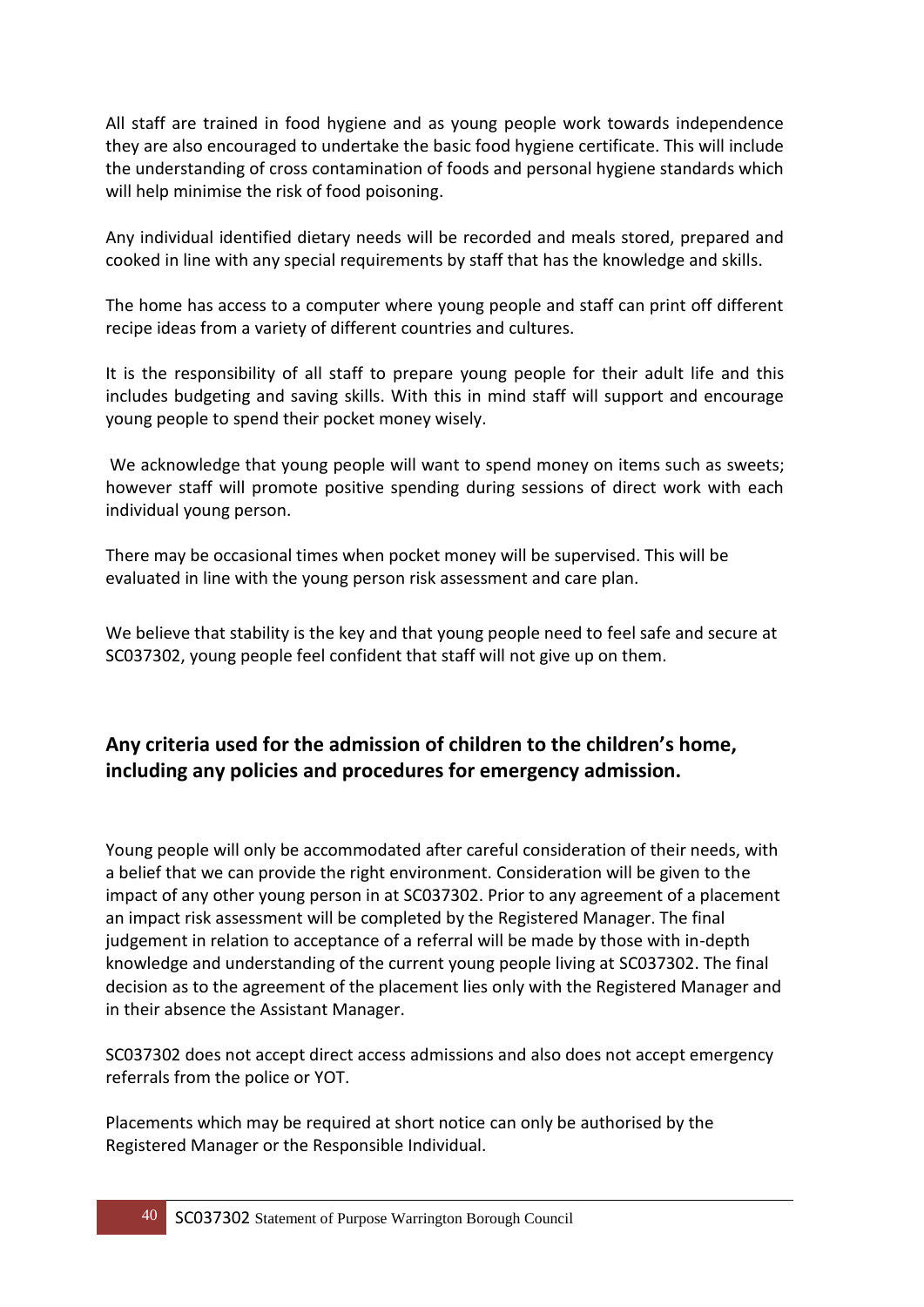All staff are trained in food hygiene and as young people work towards independence they are also encouraged to undertake the basic food hygiene certificate. This will include the understanding of cross contamination of foods and personal hygiene standards which will help minimise the risk of food poisoning.

Any individual identified dietary needs will be recorded and meals stored, prepared and cooked in line with any special requirements by staff that has the knowledge and skills.

The home has access to a computer where young people and staff can print off different recipe ideas from a variety of different countries and cultures.

It is the responsibility of all staff to prepare young people for their adult life and this includes budgeting and saving skills. With this in mind staff will support and encourage young people to spend their pocket money wisely.

We acknowledge that young people will want to spend money on items such as sweets; however staff will promote positive spending during sessions of direct work with each individual young person.

There may be occasional times when pocket money will be supervised. This will be evaluated in line with the young person risk assessment and care plan.

We believe that stability is the key and that young people need to feel safe and secure at SC037302, young people feel confident that staff will not give up on them.

#### **Any criteria used for the admission of children to the children's home, including any policies and procedures for emergency admission.**

Young people will only be accommodated after careful consideration of their needs, with a belief that we can provide the right environment. Consideration will be given to the impact of any other young person in at SC037302. Prior to any agreement of a placement an impact risk assessment will be completed by the Registered Manager. The final judgement in relation to acceptance of a referral will be made by those with in-depth knowledge and understanding of the current young people living at SC037302. The final decision as to the agreement of the placement lies only with the Registered Manager and in their absence the Assistant Manager.

SC037302 does not accept direct access admissions and also does not accept emergency referrals from the police or YOT.

Placements which may be required at short notice can only be authorised by the Registered Manager or the Responsible Individual.